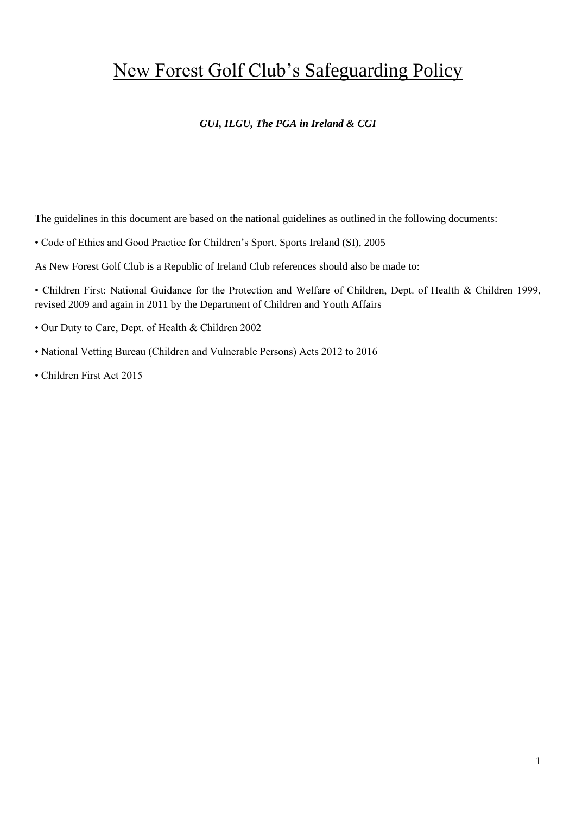# New Forest Golf Club's Safeguarding Policy

#### *GUI, ILGU, The PGA in Ireland & CGI*

The guidelines in this document are based on the national guidelines as outlined in the following documents:

• Code of Ethics and Good Practice for Children's Sport, Sports Ireland (SI), 2005

As New Forest Golf Club is a Republic of Ireland Club references should also be made to:

- Children First: National Guidance for the Protection and Welfare of Children, Dept. of Health & Children 1999, revised 2009 and again in 2011 by the Department of Children and Youth Affairs
- Our Duty to Care, Dept. of Health & Children 2002
- National Vetting Bureau (Children and Vulnerable Persons) Acts 2012 to 2016
- Children First Act 2015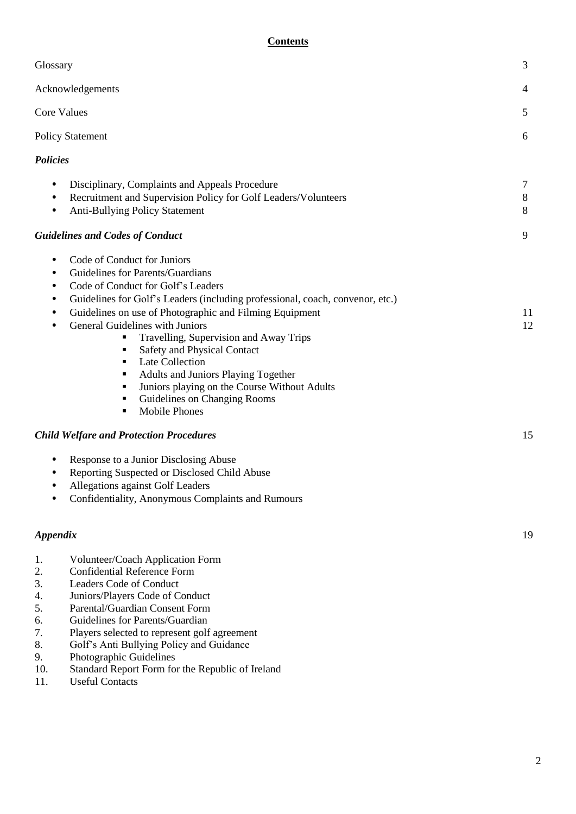#### **Contents**

| Glossary                                                                                                                                                                                                                                                                                                                                                                                                                                                                                                                                                                          | 3                |
|-----------------------------------------------------------------------------------------------------------------------------------------------------------------------------------------------------------------------------------------------------------------------------------------------------------------------------------------------------------------------------------------------------------------------------------------------------------------------------------------------------------------------------------------------------------------------------------|------------------|
| Acknowledgements                                                                                                                                                                                                                                                                                                                                                                                                                                                                                                                                                                  | $\overline{4}$   |
| <b>Core Values</b>                                                                                                                                                                                                                                                                                                                                                                                                                                                                                                                                                                | 5                |
| <b>Policy Statement</b>                                                                                                                                                                                                                                                                                                                                                                                                                                                                                                                                                           | 6                |
| <b>Policies</b>                                                                                                                                                                                                                                                                                                                                                                                                                                                                                                                                                                   |                  |
| Disciplinary, Complaints and Appeals Procedure<br>٠<br>Recruitment and Supervision Policy for Golf Leaders/Volunteers<br>٠<br><b>Anti-Bullying Policy Statement</b><br>$\bullet$<br><b>Guidelines and Codes of Conduct</b>                                                                                                                                                                                                                                                                                                                                                        | 7<br>8<br>8<br>9 |
| Code of Conduct for Juniors<br>٠<br>Guidelines for Parents/Guardians<br>٠<br>Code of Conduct for Golf's Leaders<br>٠<br>Guidelines for Golf's Leaders (including professional, coach, convenor, etc.)<br>٠<br>Guidelines on use of Photographic and Filming Equipment<br>٠<br>General Guidelines with Juniors<br>٠<br>Travelling, Supervision and Away Trips<br>Safety and Physical Contact<br>п<br>Late Collection<br>٠<br>Adults and Juniors Playing Together<br>Juniors playing on the Course Without Adults<br>Guidelines on Changing Rooms<br>٠<br><b>Mobile Phones</b><br>٠ | 11<br>12         |
| <b>Child Welfare and Protection Procedures</b>                                                                                                                                                                                                                                                                                                                                                                                                                                                                                                                                    | 15               |
| Response to a Junior Disclosing Abuse<br>$\bullet$<br>Reporting Suspected or Disclosed Child Abuse<br>٠<br>Allegations against Golf Leaders<br>٠<br>Confidentiality, Anonymous Complaints and Rumours                                                                                                                                                                                                                                                                                                                                                                             |                  |
| Appendix                                                                                                                                                                                                                                                                                                                                                                                                                                                                                                                                                                          | 19               |
| Volunteer/Coach Application Form<br>1.<br>2.<br><b>Confidential Reference Form</b><br>Leaders Code of Conduct<br>3.<br>Juniors/Players Code of Conduct<br>4.<br>Parental/Guardian Consent Form<br>5.                                                                                                                                                                                                                                                                                                                                                                              |                  |

- 6. Guidelines for Parents/Guardian
- 7. Players selected to represent golf agreement<br>8. Golf's Anti Bullying Policy and Guidance
- 8. Golf's Anti Bullying Policy and Guidance
- 9. Photographic Guidelines
- 10. Standard Report Form for the Republic of Ireland
- 11. Useful Contacts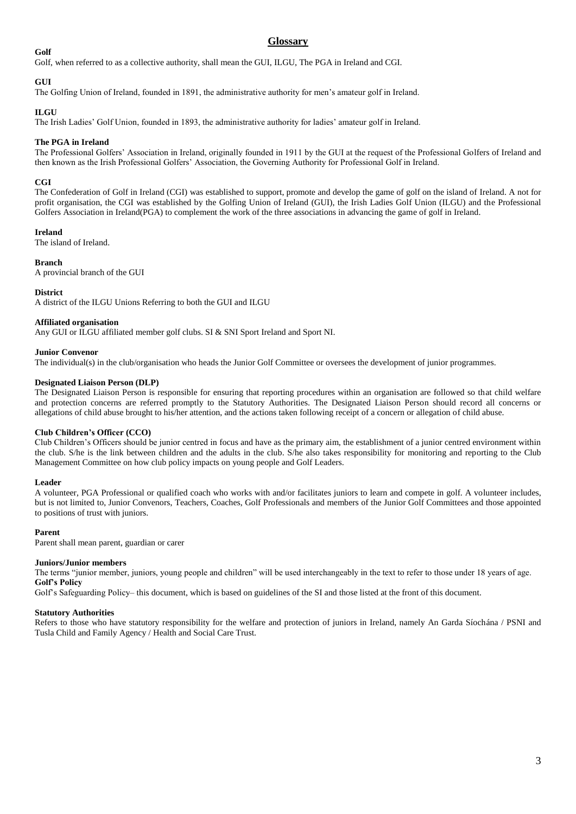#### **Golf**

#### **Glossary**

Golf, when referred to as a collective authority, shall mean the GUI, ILGU, The PGA in Ireland and CGI.

#### **GUI**

The Golfing Union of Ireland, founded in 1891, the administrative authority for men's amateur golf in Ireland.

#### **ILGU**

The Irish Ladies' Golf Union, founded in 1893, the administrative authority for ladies' amateur golf in Ireland.

#### **The PGA in Ireland**

The Professional Golfers' Association in Ireland, originally founded in 1911 by the GUI at the request of the Professional Golfers of Ireland and then known as the Irish Professional Golfers' Association, the Governing Authority for Professional Golf in Ireland.

#### **CGI**

The Confederation of Golf in Ireland (CGI) was established to support, promote and develop the game of golf on the island of Ireland. A not for profit organisation, the CGI was established by the Golfing Union of Ireland (GUI), the Irish Ladies Golf Union (ILGU) and the Professional Golfers Association in Ireland(PGA) to complement the work of the three associations in advancing the game of golf in Ireland.

#### **Ireland**

The island of Ireland.

#### **Branch**

A provincial branch of the GUI

#### **District**

A district of the ILGU Unions Referring to both the GUI and ILGU

#### **Affiliated organisation**

Any GUI or ILGU affiliated member golf clubs. SI & SNI Sport Ireland and Sport NI.

#### **Junior Convenor**

The individual(s) in the club/organisation who heads the Junior Golf Committee or oversees the development of junior programmes.

#### **Designated Liaison Person (DLP)**

The Designated Liaison Person is responsible for ensuring that reporting procedures within an organisation are followed so that child welfare and protection concerns are referred promptly to the Statutory Authorities. The Designated Liaison Person should record all concerns or allegations of child abuse brought to his/her attention, and the actions taken following receipt of a concern or allegation of child abuse.

#### **Club Children's Officer (CCO)**

Club Children's Officers should be junior centred in focus and have as the primary aim, the establishment of a junior centred environment within the club. S/he is the link between children and the adults in the club. S/he also takes responsibility for monitoring and reporting to the Club Management Committee on how club policy impacts on young people and Golf Leaders.

#### **Leader**

A volunteer, PGA Professional or qualified coach who works with and/or facilitates juniors to learn and compete in golf. A volunteer includes, but is not limited to, Junior Convenors, Teachers, Coaches, Golf Professionals and members of the Junior Golf Committees and those appointed to positions of trust with juniors.

#### **Parent**

Parent shall mean parent, guardian or carer

#### **Juniors/Junior members**

The terms "junior member, juniors, young people and children" will be used interchangeably in the text to refer to those under 18 years of age. **Golf's Policy** 

Golf's Safeguarding Policy– this document, which is based on guidelines of the SI and those listed at the front of this document.

#### **Statutory Authorities**

Refers to those who have statutory responsibility for the welfare and protection of juniors in Ireland, namely An Garda Síochána / PSNI and Tusla Child and Family Agency / Health and Social Care Trust.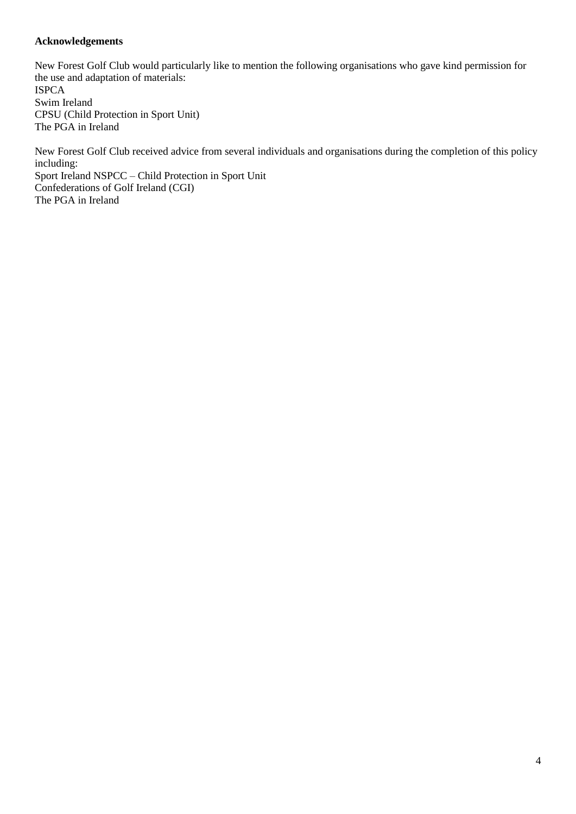#### **Acknowledgements**

New Forest Golf Club would particularly like to mention the following organisations who gave kind permission for the use and adaptation of materials: ISPCA Swim Ireland CPSU (Child Protection in Sport Unit) The PGA in Ireland

New Forest Golf Club received advice from several individuals and organisations during the completion of this policy including: Sport Ireland NSPCC – Child Protection in Sport Unit Confederations of Golf Ireland (CGI) The PGA in Ireland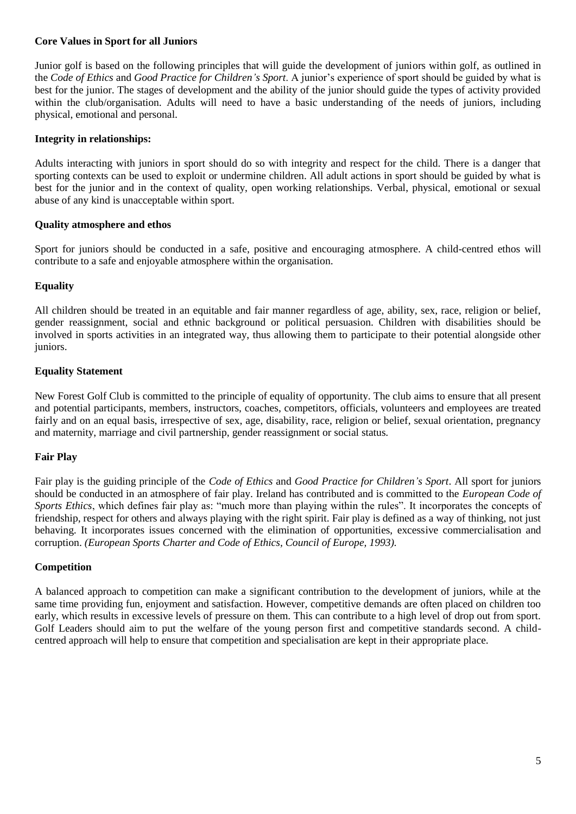#### **Core Values in Sport for all Juniors**

Junior golf is based on the following principles that will guide the development of juniors within golf, as outlined in the *Code of Ethics* and *Good Practice for Children's Sport*. A junior's experience of sport should be guided by what is best for the junior. The stages of development and the ability of the junior should guide the types of activity provided within the club/organisation. Adults will need to have a basic understanding of the needs of juniors, including physical, emotional and personal.

#### **Integrity in relationships:**

Adults interacting with juniors in sport should do so with integrity and respect for the child. There is a danger that sporting contexts can be used to exploit or undermine children. All adult actions in sport should be guided by what is best for the junior and in the context of quality, open working relationships. Verbal, physical, emotional or sexual abuse of any kind is unacceptable within sport.

#### **Quality atmosphere and ethos**

Sport for juniors should be conducted in a safe, positive and encouraging atmosphere. A child-centred ethos will contribute to a safe and enjoyable atmosphere within the organisation.

#### **Equality**

All children should be treated in an equitable and fair manner regardless of age, ability, sex, race, religion or belief, gender reassignment, social and ethnic background or political persuasion. Children with disabilities should be involved in sports activities in an integrated way, thus allowing them to participate to their potential alongside other juniors.

#### **Equality Statement**

New Forest Golf Club is committed to the principle of equality of opportunity. The club aims to ensure that all present and potential participants, members, instructors, coaches, competitors, officials, volunteers and employees are treated fairly and on an equal basis, irrespective of sex, age, disability, race, religion or belief, sexual orientation, pregnancy and maternity, marriage and civil partnership, gender reassignment or social status.

#### **Fair Play**

Fair play is the guiding principle of the *Code of Ethics* and *Good Practice for Children's Sport*. All sport for juniors should be conducted in an atmosphere of fair play. Ireland has contributed and is committed to the *European Code of Sports Ethics*, which defines fair play as: "much more than playing within the rules". It incorporates the concepts of friendship, respect for others and always playing with the right spirit. Fair play is defined as a way of thinking, not just behaving. It incorporates issues concerned with the elimination of opportunities, excessive commercialisation and corruption. *(European Sports Charter and Code of Ethics, Council of Europe, 1993).*

#### **Competition**

A balanced approach to competition can make a significant contribution to the development of juniors, while at the same time providing fun, enjoyment and satisfaction. However, competitive demands are often placed on children too early, which results in excessive levels of pressure on them. This can contribute to a high level of drop out from sport. Golf Leaders should aim to put the welfare of the young person first and competitive standards second. A childcentred approach will help to ensure that competition and specialisation are kept in their appropriate place.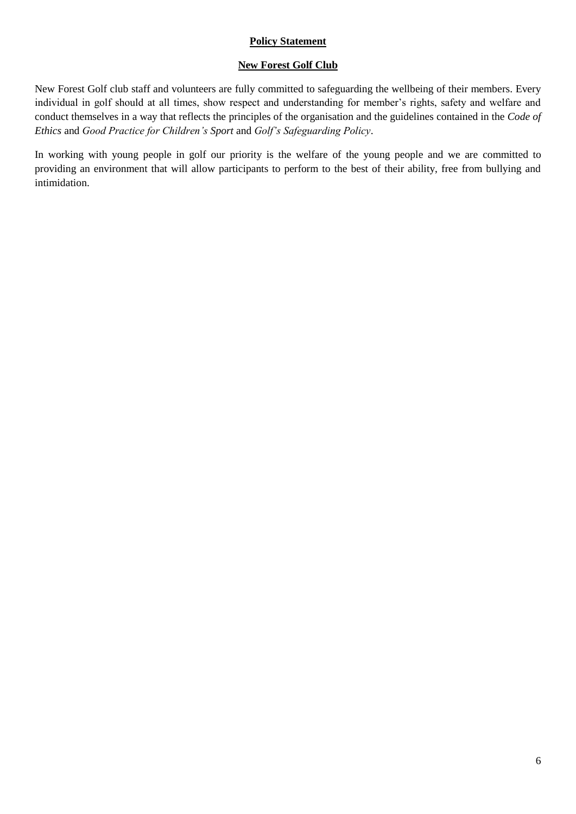#### **Policy Statement**

#### **New Forest Golf Club**

New Forest Golf club staff and volunteers are fully committed to safeguarding the wellbeing of their members. Every individual in golf should at all times, show respect and understanding for member's rights, safety and welfare and conduct themselves in a way that reflects the principles of the organisation and the guidelines contained in the *Code of Ethics* and *Good Practice for Children's Sport* and *Golf's Safeguarding Policy*.

In working with young people in golf our priority is the welfare of the young people and we are committed to providing an environment that will allow participants to perform to the best of their ability, free from bullying and intimidation.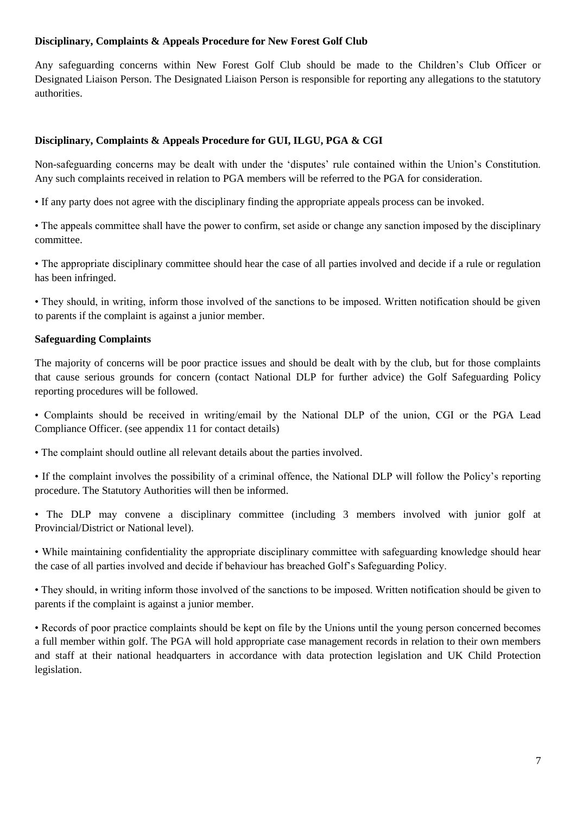#### **Disciplinary, Complaints & Appeals Procedure for New Forest Golf Club**

Any safeguarding concerns within New Forest Golf Club should be made to the Children's Club Officer or Designated Liaison Person. The Designated Liaison Person is responsible for reporting any allegations to the statutory authorities.

#### **Disciplinary, Complaints & Appeals Procedure for GUI, ILGU, PGA & CGI**

Non-safeguarding concerns may be dealt with under the 'disputes' rule contained within the Union's Constitution. Any such complaints received in relation to PGA members will be referred to the PGA for consideration.

• If any party does not agree with the disciplinary finding the appropriate appeals process can be invoked.

• The appeals committee shall have the power to confirm, set aside or change any sanction imposed by the disciplinary committee.

• The appropriate disciplinary committee should hear the case of all parties involved and decide if a rule or regulation has been infringed.

• They should, in writing, inform those involved of the sanctions to be imposed. Written notification should be given to parents if the complaint is against a junior member.

#### **Safeguarding Complaints**

The majority of concerns will be poor practice issues and should be dealt with by the club, but for those complaints that cause serious grounds for concern (contact National DLP for further advice) the Golf Safeguarding Policy reporting procedures will be followed.

• Complaints should be received in writing/email by the National DLP of the union, CGI or the PGA Lead Compliance Officer. (see appendix 11 for contact details)

• The complaint should outline all relevant details about the parties involved.

• If the complaint involves the possibility of a criminal offence, the National DLP will follow the Policy's reporting procedure. The Statutory Authorities will then be informed.

• The DLP may convene a disciplinary committee (including 3 members involved with junior golf at Provincial/District or National level).

• While maintaining confidentiality the appropriate disciplinary committee with safeguarding knowledge should hear the case of all parties involved and decide if behaviour has breached Golf's Safeguarding Policy.

• They should, in writing inform those involved of the sanctions to be imposed. Written notification should be given to parents if the complaint is against a junior member.

• Records of poor practice complaints should be kept on file by the Unions until the young person concerned becomes a full member within golf. The PGA will hold appropriate case management records in relation to their own members and staff at their national headquarters in accordance with data protection legislation and UK Child Protection legislation.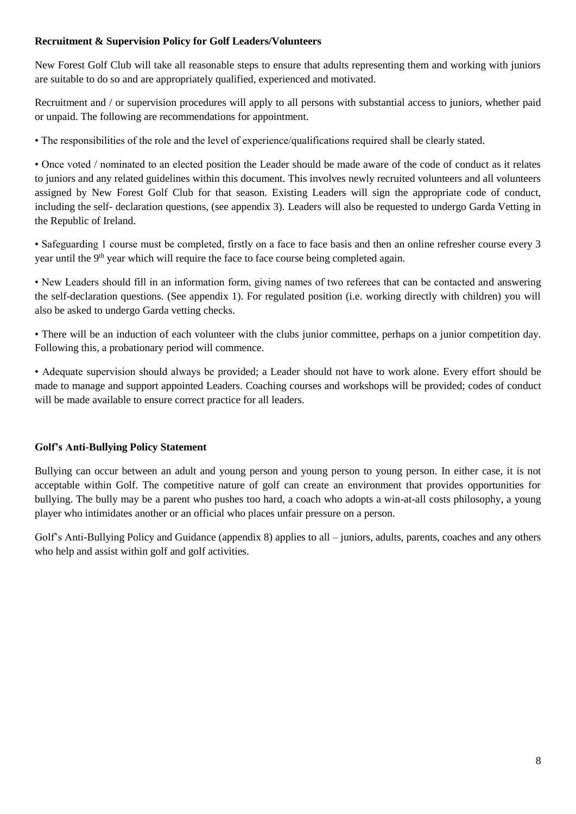#### **Recruitment & Supervision Policy for Golf Leaders/Volunteers**

New Forest Golf Club will take all reasonable steps to ensure that adults representing them and working with juniors are suitable to do so and are appropriately qualified, experienced and motivated.

Recruitment and / or supervision procedures will apply to all persons with substantial access to juniors, whether paid or unpaid. The following are recommendations for appointment.

• The responsibilities of the role and the level of experience/qualifications required shall be clearly stated.

• Once voted / nominated to an elected position the Leader should be made aware of the code of conduct as it relates to juniors and any related guidelines within this document. This involves newly recruited volunteers and all volunteers assigned by New Forest Golf Club for that season. Existing Leaders will sign the appropriate code of conduct, including the self- declaration questions, (see appendix 3). Leaders will also be requested to undergo Garda Vetting in the Republic of Ireland.

• Safeguarding 1 course must be completed, firstly on a face to face basis and then an online refresher course every 3 year until the 9<sup>th</sup> year which will require the face to face course being completed again.

• New Leaders should fill in an information form, giving names of two referees that can be contacted and answering the self-declaration questions. (See appendix 1). For regulated position (i.e. working directly with children) you will also be asked to undergo Garda vetting checks.

• There will be an induction of each volunteer with the clubs junior committee, perhaps on a junior competition day. Following this, a probationary period will commence.

• Adequate supervision should always be provided; a Leader should not have to work alone. Every effort should be made to manage and support appointed Leaders. Coaching courses and workshops will be provided; codes of conduct will be made available to ensure correct practice for all leaders.

#### **Golf's Anti-Bullying Policy Statement**

Bullying can occur between an adult and young person and young person to young person. In either case, it is not acceptable within Golf. The competitive nature of golf can create an environment that provides opportunities for bullying. The bully may be a parent who pushes too hard, a coach who adopts a win-at-all costs philosophy, a young player who intimidates another or an official who places unfair pressure on a person.

Golf's Anti-Bullying Policy and Guidance (appendix 8) applies to all – juniors, adults, parents, coaches and any others who help and assist within golf and golf activities.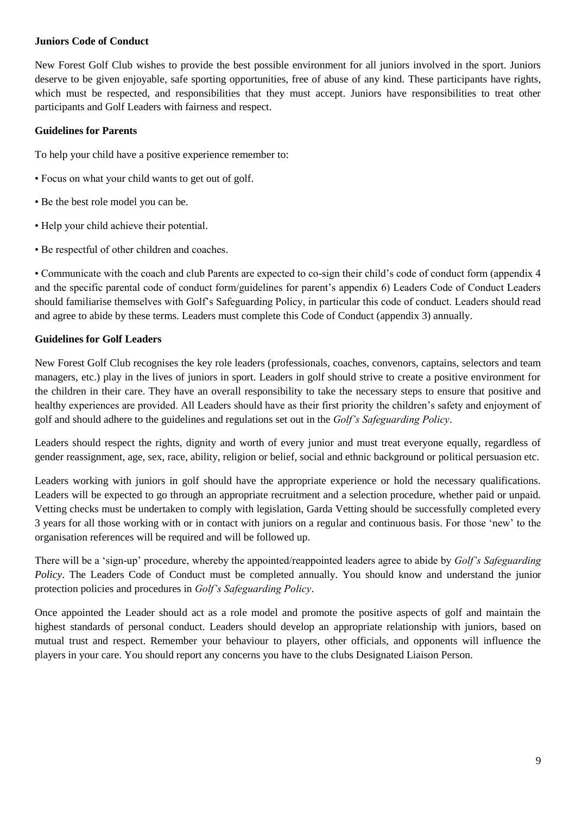#### **Juniors Code of Conduct**

New Forest Golf Club wishes to provide the best possible environment for all juniors involved in the sport. Juniors deserve to be given enjoyable, safe sporting opportunities, free of abuse of any kind. These participants have rights, which must be respected, and responsibilities that they must accept. Juniors have responsibilities to treat other participants and Golf Leaders with fairness and respect.

#### **Guidelines for Parents**

To help your child have a positive experience remember to:

- Focus on what your child wants to get out of golf.
- Be the best role model you can be.
- Help your child achieve their potential.
- Be respectful of other children and coaches.

• Communicate with the coach and club Parents are expected to co-sign their child's code of conduct form (appendix 4 and the specific parental code of conduct form/guidelines for parent's appendix 6) Leaders Code of Conduct Leaders should familiarise themselves with Golf's Safeguarding Policy, in particular this code of conduct. Leaders should read and agree to abide by these terms. Leaders must complete this Code of Conduct (appendix 3) annually.

#### **Guidelines for Golf Leaders**

New Forest Golf Club recognises the key role leaders (professionals, coaches, convenors, captains, selectors and team managers, etc.) play in the lives of juniors in sport. Leaders in golf should strive to create a positive environment for the children in their care. They have an overall responsibility to take the necessary steps to ensure that positive and healthy experiences are provided. All Leaders should have as their first priority the children's safety and enjoyment of golf and should adhere to the guidelines and regulations set out in the *Golf's Safeguarding Policy*.

Leaders should respect the rights, dignity and worth of every junior and must treat everyone equally, regardless of gender reassignment, age, sex, race, ability, religion or belief, social and ethnic background or political persuasion etc.

Leaders working with juniors in golf should have the appropriate experience or hold the necessary qualifications. Leaders will be expected to go through an appropriate recruitment and a selection procedure, whether paid or unpaid. Vetting checks must be undertaken to comply with legislation, Garda Vetting should be successfully completed every 3 years for all those working with or in contact with juniors on a regular and continuous basis. For those 'new' to the organisation references will be required and will be followed up.

There will be a 'sign-up' procedure, whereby the appointed/reappointed leaders agree to abide by *Golf's Safeguarding Policy*. The Leaders Code of Conduct must be completed annually. You should know and understand the junior protection policies and procedures in *Golf's Safeguarding Policy*.

Once appointed the Leader should act as a role model and promote the positive aspects of golf and maintain the highest standards of personal conduct. Leaders should develop an appropriate relationship with juniors, based on mutual trust and respect. Remember your behaviour to players, other officials, and opponents will influence the players in your care. You should report any concerns you have to the clubs Designated Liaison Person.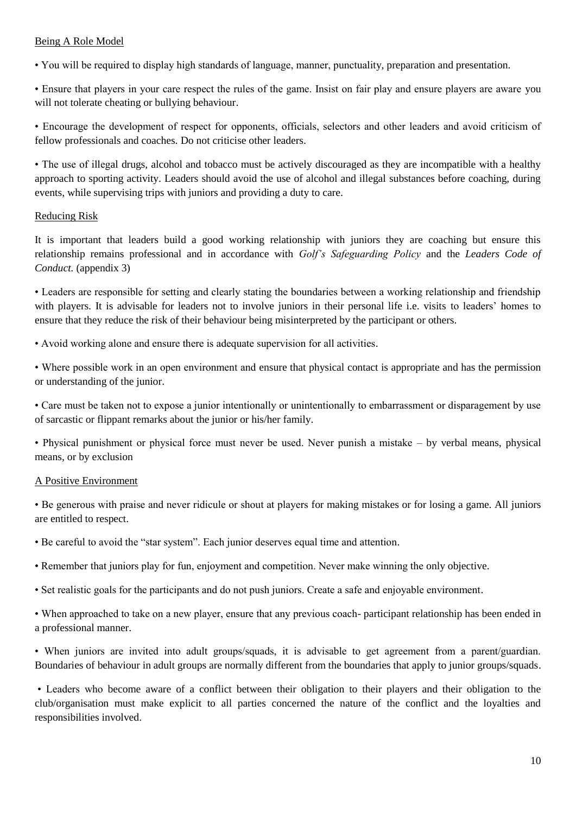#### Being A Role Model

• You will be required to display high standards of language, manner, punctuality, preparation and presentation.

• Ensure that players in your care respect the rules of the game. Insist on fair play and ensure players are aware you will not tolerate cheating or bullying behaviour.

• Encourage the development of respect for opponents, officials, selectors and other leaders and avoid criticism of fellow professionals and coaches. Do not criticise other leaders.

• The use of illegal drugs, alcohol and tobacco must be actively discouraged as they are incompatible with a healthy approach to sporting activity. Leaders should avoid the use of alcohol and illegal substances before coaching, during events, while supervising trips with juniors and providing a duty to care.

#### Reducing Risk

It is important that leaders build a good working relationship with juniors they are coaching but ensure this relationship remains professional and in accordance with *Golf's Safeguarding Policy* and the *Leaders Code of Conduct.* (appendix 3)

• Leaders are responsible for setting and clearly stating the boundaries between a working relationship and friendship with players. It is advisable for leaders not to involve juniors in their personal life i.e. visits to leaders' homes to ensure that they reduce the risk of their behaviour being misinterpreted by the participant or others.

• Avoid working alone and ensure there is adequate supervision for all activities.

• Where possible work in an open environment and ensure that physical contact is appropriate and has the permission or understanding of the junior.

• Care must be taken not to expose a junior intentionally or unintentionally to embarrassment or disparagement by use of sarcastic or flippant remarks about the junior or his/her family.

• Physical punishment or physical force must never be used. Never punish a mistake – by verbal means, physical means, or by exclusion

#### A Positive Environment

• Be generous with praise and never ridicule or shout at players for making mistakes or for losing a game. All juniors are entitled to respect.

• Be careful to avoid the "star system". Each junior deserves equal time and attention.

- Remember that juniors play for fun, enjoyment and competition. Never make winning the only objective.
- Set realistic goals for the participants and do not push juniors. Create a safe and enjoyable environment.

• When approached to take on a new player, ensure that any previous coach- participant relationship has been ended in a professional manner.

• When juniors are invited into adult groups/squads, it is advisable to get agreement from a parent/guardian. Boundaries of behaviour in adult groups are normally different from the boundaries that apply to junior groups/squads.

• Leaders who become aware of a conflict between their obligation to their players and their obligation to the club/organisation must make explicit to all parties concerned the nature of the conflict and the loyalties and responsibilities involved.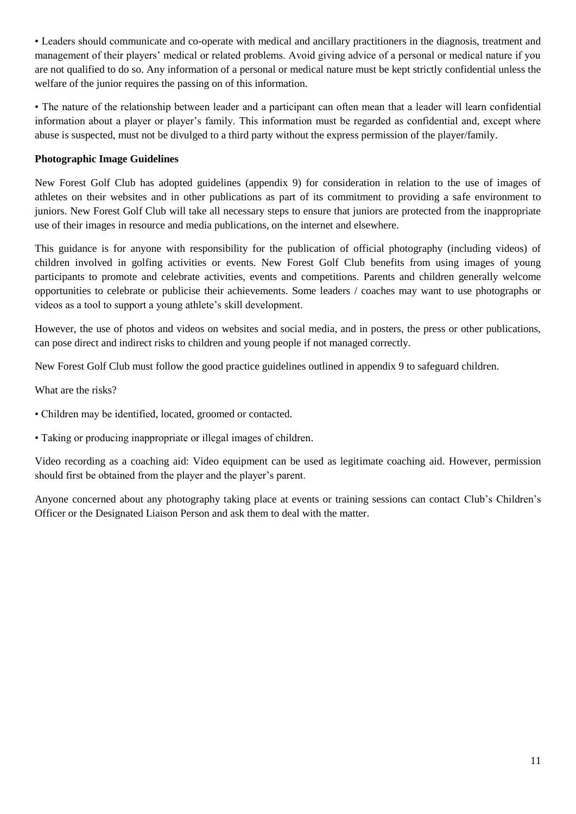• Leaders should communicate and co-operate with medical and ancillary practitioners in the diagnosis, treatment and management of their players' medical or related problems. Avoid giving advice of a personal or medical nature if you are not qualified to do so. Any information of a personal or medical nature must be kept strictly confidential unless the welfare of the junior requires the passing on of this information.

• The nature of the relationship between leader and a participant can often mean that a leader will learn confidential information about a player or player's family. This information must be regarded as confidential and, except where abuse is suspected, must not be divulged to a third party without the express permission of the player/family.

#### **Photographic Image Guidelines**

New Forest Golf Club has adopted guidelines (appendix 9) for consideration in relation to the use of images of athletes on their websites and in other publications as part of its commitment to providing a safe environment to juniors. New Forest Golf Club will take all necessary steps to ensure that juniors are protected from the inappropriate use of their images in resource and media publications, on the internet and elsewhere.

This guidance is for anyone with responsibility for the publication of official photography (including videos) of children involved in golfing activities or events. New Forest Golf Club benefits from using images of young participants to promote and celebrate activities, events and competitions. Parents and children generally welcome opportunities to celebrate or publicise their achievements. Some leaders / coaches may want to use photographs or videos as a tool to support a young athlete's skill development.

However, the use of photos and videos on websites and social media, and in posters, the press or other publications, can pose direct and indirect risks to children and young people if not managed correctly.

New Forest Golf Club must follow the good practice guidelines outlined in appendix 9 to safeguard children.

What are the risks?

- Children may be identified, located, groomed or contacted.
- Taking or producing inappropriate or illegal images of children.

Video recording as a coaching aid: Video equipment can be used as legitimate coaching aid. However, permission should first be obtained from the player and the player's parent.

Anyone concerned about any photography taking place at events or training sessions can contact Club's Children's Officer or the Designated Liaison Person and ask them to deal with the matter.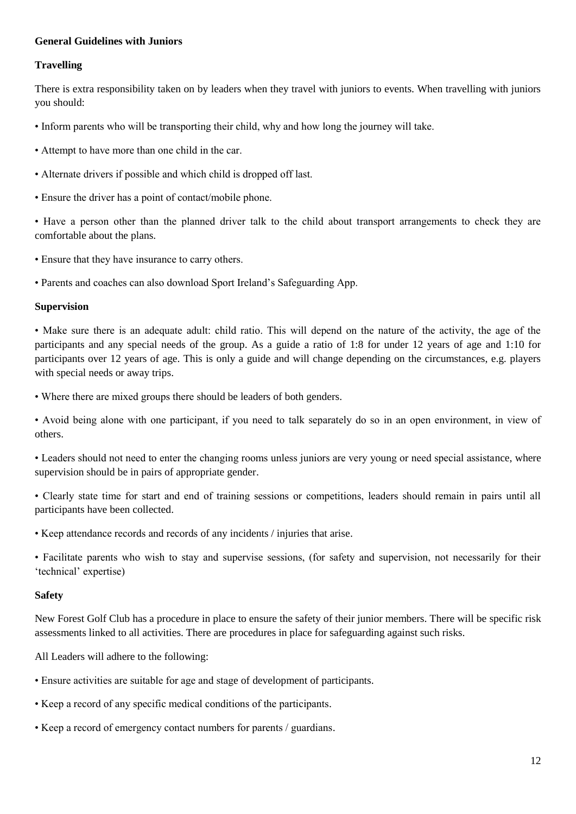#### **General Guidelines with Juniors**

#### **Travelling**

There is extra responsibility taken on by leaders when they travel with juniors to events. When travelling with juniors you should:

- Inform parents who will be transporting their child, why and how long the journey will take.
- Attempt to have more than one child in the car.
- Alternate drivers if possible and which child is dropped off last.
- Ensure the driver has a point of contact/mobile phone.

• Have a person other than the planned driver talk to the child about transport arrangements to check they are comfortable about the plans.

• Ensure that they have insurance to carry others.

• Parents and coaches can also download Sport Ireland's Safeguarding App.

#### **Supervision**

• Make sure there is an adequate adult: child ratio. This will depend on the nature of the activity, the age of the participants and any special needs of the group. As a guide a ratio of 1:8 for under 12 years of age and 1:10 for participants over 12 years of age. This is only a guide and will change depending on the circumstances, e.g. players with special needs or away trips.

• Where there are mixed groups there should be leaders of both genders.

• Avoid being alone with one participant, if you need to talk separately do so in an open environment, in view of others.

• Leaders should not need to enter the changing rooms unless juniors are very young or need special assistance, where supervision should be in pairs of appropriate gender.

• Clearly state time for start and end of training sessions or competitions, leaders should remain in pairs until all participants have been collected.

• Keep attendance records and records of any incidents / injuries that arise.

• Facilitate parents who wish to stay and supervise sessions, (for safety and supervision, not necessarily for their 'technical' expertise)

#### **Safety**

New Forest Golf Club has a procedure in place to ensure the safety of their junior members. There will be specific risk assessments linked to all activities. There are procedures in place for safeguarding against such risks.

All Leaders will adhere to the following:

- Ensure activities are suitable for age and stage of development of participants.
- Keep a record of any specific medical conditions of the participants.
- Keep a record of emergency contact numbers for parents / guardians.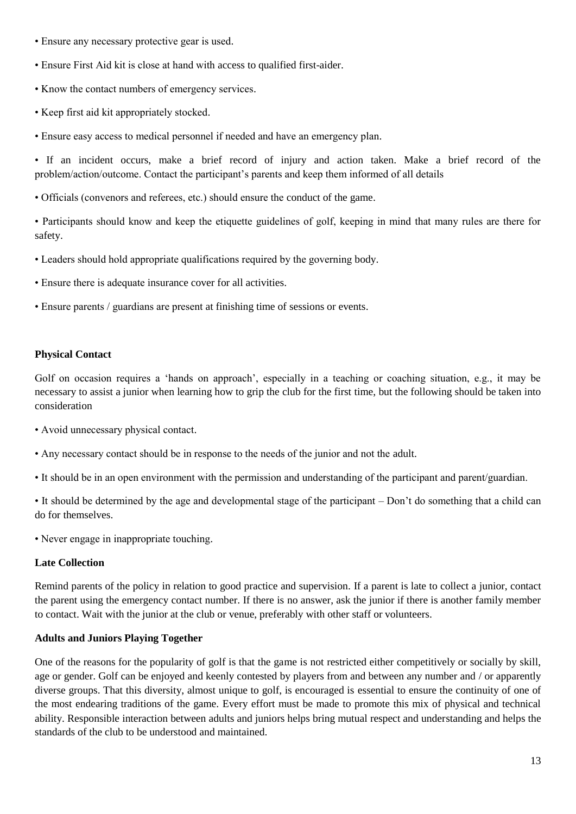- Ensure any necessary protective gear is used.
- Ensure First Aid kit is close at hand with access to qualified first-aider.
- Know the contact numbers of emergency services.
- Keep first aid kit appropriately stocked.
- Ensure easy access to medical personnel if needed and have an emergency plan.

• If an incident occurs, make a brief record of injury and action taken. Make a brief record of the problem/action/outcome. Contact the participant's parents and keep them informed of all details

• Officials (convenors and referees, etc.) should ensure the conduct of the game.

• Participants should know and keep the etiquette guidelines of golf, keeping in mind that many rules are there for safety.

- Leaders should hold appropriate qualifications required by the governing body.
- Ensure there is adequate insurance cover for all activities.
- Ensure parents / guardians are present at finishing time of sessions or events.

#### **Physical Contact**

Golf on occasion requires a 'hands on approach', especially in a teaching or coaching situation, e.g., it may be necessary to assist a junior when learning how to grip the club for the first time, but the following should be taken into consideration

- Avoid unnecessary physical contact.
- Any necessary contact should be in response to the needs of the junior and not the adult.
- It should be in an open environment with the permission and understanding of the participant and parent/guardian.

• It should be determined by the age and developmental stage of the participant – Don't do something that a child can do for themselves.

• Never engage in inappropriate touching.

#### **Late Collection**

Remind parents of the policy in relation to good practice and supervision. If a parent is late to collect a junior, contact the parent using the emergency contact number. If there is no answer, ask the junior if there is another family member to contact. Wait with the junior at the club or venue, preferably with other staff or volunteers.

#### **Adults and Juniors Playing Together**

One of the reasons for the popularity of golf is that the game is not restricted either competitively or socially by skill, age or gender. Golf can be enjoyed and keenly contested by players from and between any number and / or apparently diverse groups. That this diversity, almost unique to golf, is encouraged is essential to ensure the continuity of one of the most endearing traditions of the game. Every effort must be made to promote this mix of physical and technical ability. Responsible interaction between adults and juniors helps bring mutual respect and understanding and helps the standards of the club to be understood and maintained.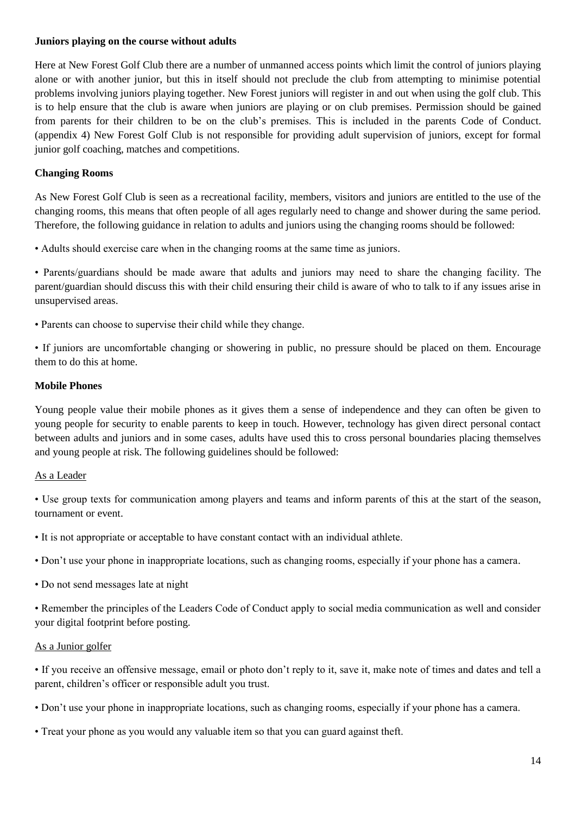#### **Juniors playing on the course without adults**

Here at New Forest Golf Club there are a number of unmanned access points which limit the control of juniors playing alone or with another junior, but this in itself should not preclude the club from attempting to minimise potential problems involving juniors playing together. New Forest juniors will register in and out when using the golf club. This is to help ensure that the club is aware when juniors are playing or on club premises. Permission should be gained from parents for their children to be on the club's premises. This is included in the parents Code of Conduct. (appendix 4) New Forest Golf Club is not responsible for providing adult supervision of juniors, except for formal junior golf coaching, matches and competitions.

#### **Changing Rooms**

As New Forest Golf Club is seen as a recreational facility, members, visitors and juniors are entitled to the use of the changing rooms, this means that often people of all ages regularly need to change and shower during the same period. Therefore, the following guidance in relation to adults and juniors using the changing rooms should be followed:

• Adults should exercise care when in the changing rooms at the same time as juniors.

• Parents/guardians should be made aware that adults and juniors may need to share the changing facility. The parent/guardian should discuss this with their child ensuring their child is aware of who to talk to if any issues arise in unsupervised areas.

• Parents can choose to supervise their child while they change.

• If juniors are uncomfortable changing or showering in public, no pressure should be placed on them. Encourage them to do this at home.

#### **Mobile Phones**

Young people value their mobile phones as it gives them a sense of independence and they can often be given to young people for security to enable parents to keep in touch. However, technology has given direct personal contact between adults and juniors and in some cases, adults have used this to cross personal boundaries placing themselves and young people at risk. The following guidelines should be followed:

#### As a Leader

• Use group texts for communication among players and teams and inform parents of this at the start of the season, tournament or event.

• It is not appropriate or acceptable to have constant contact with an individual athlete.

• Don't use your phone in inappropriate locations, such as changing rooms, especially if your phone has a camera.

• Do not send messages late at night

• Remember the principles of the Leaders Code of Conduct apply to social media communication as well and consider your digital footprint before posting.

#### As a Junior golfer

• If you receive an offensive message, email or photo don't reply to it, save it, make note of times and dates and tell a parent, children's officer or responsible adult you trust.

- Don't use your phone in inappropriate locations, such as changing rooms, especially if your phone has a camera.
- Treat your phone as you would any valuable item so that you can guard against theft.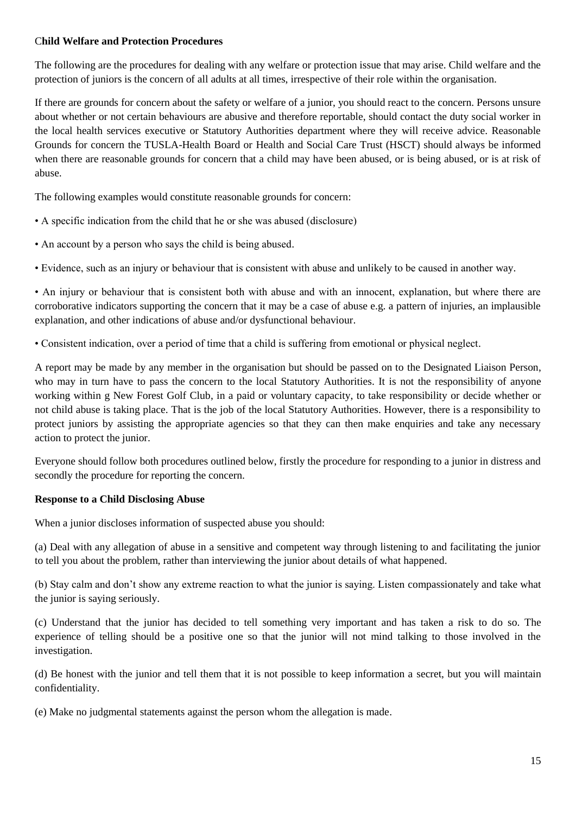#### C**hild Welfare and Protection Procedures**

The following are the procedures for dealing with any welfare or protection issue that may arise. Child welfare and the protection of juniors is the concern of all adults at all times, irrespective of their role within the organisation.

If there are grounds for concern about the safety or welfare of a junior, you should react to the concern. Persons unsure about whether or not certain behaviours are abusive and therefore reportable, should contact the duty social worker in the local health services executive or Statutory Authorities department where they will receive advice. Reasonable Grounds for concern the TUSLA-Health Board or Health and Social Care Trust (HSCT) should always be informed when there are reasonable grounds for concern that a child may have been abused, or is being abused, or is at risk of abuse.

The following examples would constitute reasonable grounds for concern:

- A specific indication from the child that he or she was abused (disclosure)
- An account by a person who says the child is being abused.

• Evidence, such as an injury or behaviour that is consistent with abuse and unlikely to be caused in another way.

• An injury or behaviour that is consistent both with abuse and with an innocent, explanation, but where there are corroborative indicators supporting the concern that it may be a case of abuse e.g. a pattern of injuries, an implausible explanation, and other indications of abuse and/or dysfunctional behaviour.

• Consistent indication, over a period of time that a child is suffering from emotional or physical neglect.

A report may be made by any member in the organisation but should be passed on to the Designated Liaison Person, who may in turn have to pass the concern to the local Statutory Authorities. It is not the responsibility of anyone working within g New Forest Golf Club, in a paid or voluntary capacity, to take responsibility or decide whether or not child abuse is taking place. That is the job of the local Statutory Authorities. However, there is a responsibility to protect juniors by assisting the appropriate agencies so that they can then make enquiries and take any necessary action to protect the junior.

Everyone should follow both procedures outlined below, firstly the procedure for responding to a junior in distress and secondly the procedure for reporting the concern.

#### **Response to a Child Disclosing Abuse**

When a junior discloses information of suspected abuse you should:

(a) Deal with any allegation of abuse in a sensitive and competent way through listening to and facilitating the junior to tell you about the problem, rather than interviewing the junior about details of what happened.

(b) Stay calm and don't show any extreme reaction to what the junior is saying. Listen compassionately and take what the junior is saying seriously.

(c) Understand that the junior has decided to tell something very important and has taken a risk to do so. The experience of telling should be a positive one so that the junior will not mind talking to those involved in the investigation.

(d) Be honest with the junior and tell them that it is not possible to keep information a secret, but you will maintain confidentiality.

(e) Make no judgmental statements against the person whom the allegation is made.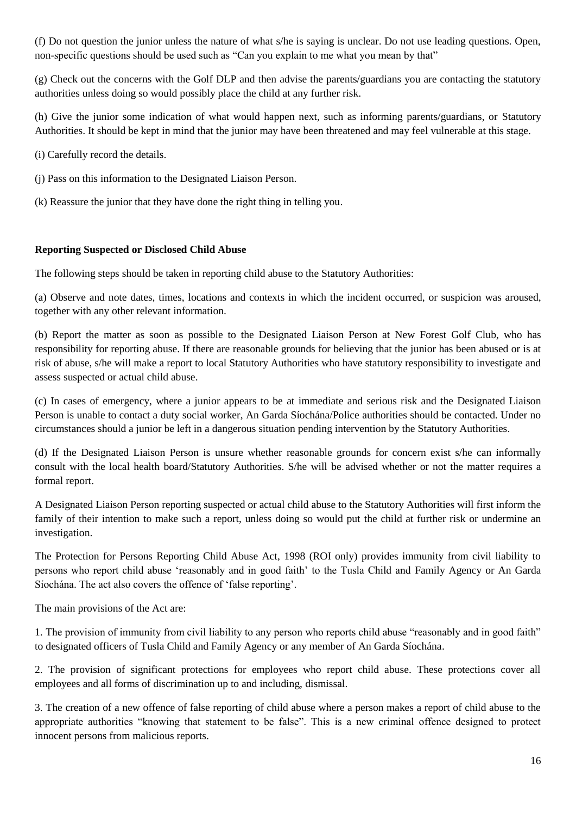(f) Do not question the junior unless the nature of what s/he is saying is unclear. Do not use leading questions. Open, non-specific questions should be used such as "Can you explain to me what you mean by that"

(g) Check out the concerns with the Golf DLP and then advise the parents/guardians you are contacting the statutory authorities unless doing so would possibly place the child at any further risk.

(h) Give the junior some indication of what would happen next, such as informing parents/guardians, or Statutory Authorities. It should be kept in mind that the junior may have been threatened and may feel vulnerable at this stage.

(i) Carefully record the details.

(j) Pass on this information to the Designated Liaison Person.

(k) Reassure the junior that they have done the right thing in telling you.

#### **Reporting Suspected or Disclosed Child Abuse**

The following steps should be taken in reporting child abuse to the Statutory Authorities:

(a) Observe and note dates, times, locations and contexts in which the incident occurred, or suspicion was aroused, together with any other relevant information.

(b) Report the matter as soon as possible to the Designated Liaison Person at New Forest Golf Club, who has responsibility for reporting abuse. If there are reasonable grounds for believing that the junior has been abused or is at risk of abuse, s/he will make a report to local Statutory Authorities who have statutory responsibility to investigate and assess suspected or actual child abuse.

(c) In cases of emergency, where a junior appears to be at immediate and serious risk and the Designated Liaison Person is unable to contact a duty social worker, An Garda Síochána/Police authorities should be contacted. Under no circumstances should a junior be left in a dangerous situation pending intervention by the Statutory Authorities.

(d) If the Designated Liaison Person is unsure whether reasonable grounds for concern exist s/he can informally consult with the local health board/Statutory Authorities. S/he will be advised whether or not the matter requires a formal report.

A Designated Liaison Person reporting suspected or actual child abuse to the Statutory Authorities will first inform the family of their intention to make such a report, unless doing so would put the child at further risk or undermine an investigation.

The Protection for Persons Reporting Child Abuse Act, 1998 (ROI only) provides immunity from civil liability to persons who report child abuse 'reasonably and in good faith' to the Tusla Child and Family Agency or An Garda Síochána. The act also covers the offence of 'false reporting'.

The main provisions of the Act are:

1. The provision of immunity from civil liability to any person who reports child abuse "reasonably and in good faith" to designated officers of Tusla Child and Family Agency or any member of An Garda Síochána.

2. The provision of significant protections for employees who report child abuse. These protections cover all employees and all forms of discrimination up to and including, dismissal.

3. The creation of a new offence of false reporting of child abuse where a person makes a report of child abuse to the appropriate authorities "knowing that statement to be false". This is a new criminal offence designed to protect innocent persons from malicious reports.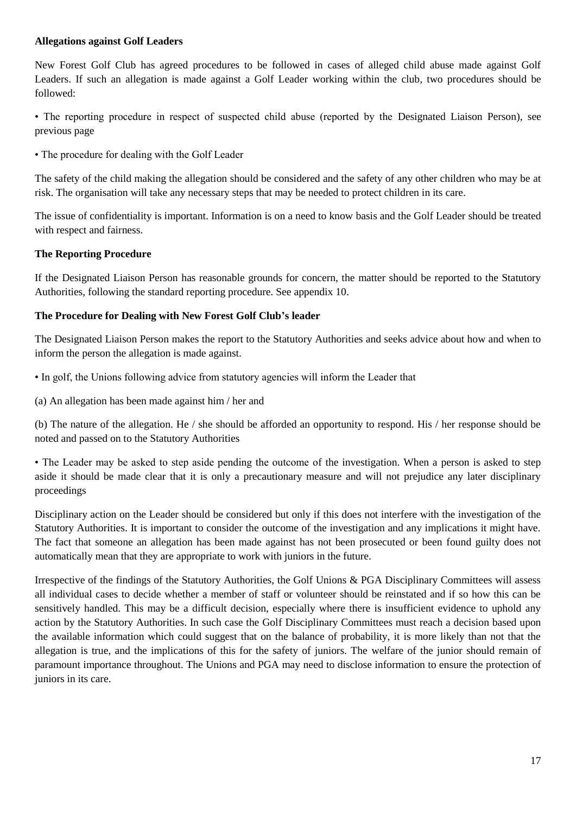#### **Allegations against Golf Leaders**

New Forest Golf Club has agreed procedures to be followed in cases of alleged child abuse made against Golf Leaders. If such an allegation is made against a Golf Leader working within the club, two procedures should be followed:

• The reporting procedure in respect of suspected child abuse (reported by the Designated Liaison Person), see previous page

• The procedure for dealing with the Golf Leader

The safety of the child making the allegation should be considered and the safety of any other children who may be at risk. The organisation will take any necessary steps that may be needed to protect children in its care.

The issue of confidentiality is important. Information is on a need to know basis and the Golf Leader should be treated with respect and fairness.

#### **The Reporting Procedure**

If the Designated Liaison Person has reasonable grounds for concern, the matter should be reported to the Statutory Authorities, following the standard reporting procedure. See appendix 10.

#### **The Procedure for Dealing with New Forest Golf Club's leader**

The Designated Liaison Person makes the report to the Statutory Authorities and seeks advice about how and when to inform the person the allegation is made against.

- In golf, the Unions following advice from statutory agencies will inform the Leader that
- (a) An allegation has been made against him / her and

(b) The nature of the allegation. He / she should be afforded an opportunity to respond. His / her response should be noted and passed on to the Statutory Authorities

• The Leader may be asked to step aside pending the outcome of the investigation. When a person is asked to step aside it should be made clear that it is only a precautionary measure and will not prejudice any later disciplinary proceedings

Disciplinary action on the Leader should be considered but only if this does not interfere with the investigation of the Statutory Authorities. It is important to consider the outcome of the investigation and any implications it might have. The fact that someone an allegation has been made against has not been prosecuted or been found guilty does not automatically mean that they are appropriate to work with juniors in the future.

Irrespective of the findings of the Statutory Authorities, the Golf Unions & PGA Disciplinary Committees will assess all individual cases to decide whether a member of staff or volunteer should be reinstated and if so how this can be sensitively handled. This may be a difficult decision, especially where there is insufficient evidence to uphold any action by the Statutory Authorities. In such case the Golf Disciplinary Committees must reach a decision based upon the available information which could suggest that on the balance of probability, it is more likely than not that the allegation is true, and the implications of this for the safety of juniors. The welfare of the junior should remain of paramount importance throughout. The Unions and PGA may need to disclose information to ensure the protection of juniors in its care.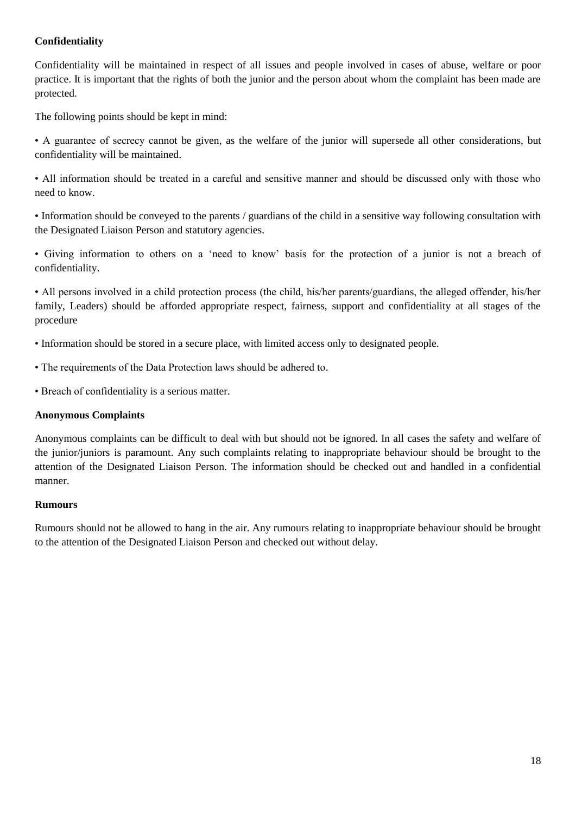#### **Confidentiality**

Confidentiality will be maintained in respect of all issues and people involved in cases of abuse, welfare or poor practice. It is important that the rights of both the junior and the person about whom the complaint has been made are protected.

The following points should be kept in mind:

• A guarantee of secrecy cannot be given, as the welfare of the junior will supersede all other considerations, but confidentiality will be maintained.

• All information should be treated in a careful and sensitive manner and should be discussed only with those who need to know.

• Information should be conveyed to the parents / guardians of the child in a sensitive way following consultation with the Designated Liaison Person and statutory agencies.

• Giving information to others on a 'need to know' basis for the protection of a junior is not a breach of confidentiality.

• All persons involved in a child protection process (the child, his/her parents/guardians, the alleged offender, his/her family, Leaders) should be afforded appropriate respect, fairness, support and confidentiality at all stages of the procedure

- Information should be stored in a secure place, with limited access only to designated people.
- The requirements of the Data Protection laws should be adhered to.
- Breach of confidentiality is a serious matter.

#### **Anonymous Complaints**

Anonymous complaints can be difficult to deal with but should not be ignored. In all cases the safety and welfare of the junior/juniors is paramount. Any such complaints relating to inappropriate behaviour should be brought to the attention of the Designated Liaison Person. The information should be checked out and handled in a confidential manner.

#### **Rumours**

Rumours should not be allowed to hang in the air. Any rumours relating to inappropriate behaviour should be brought to the attention of the Designated Liaison Person and checked out without delay.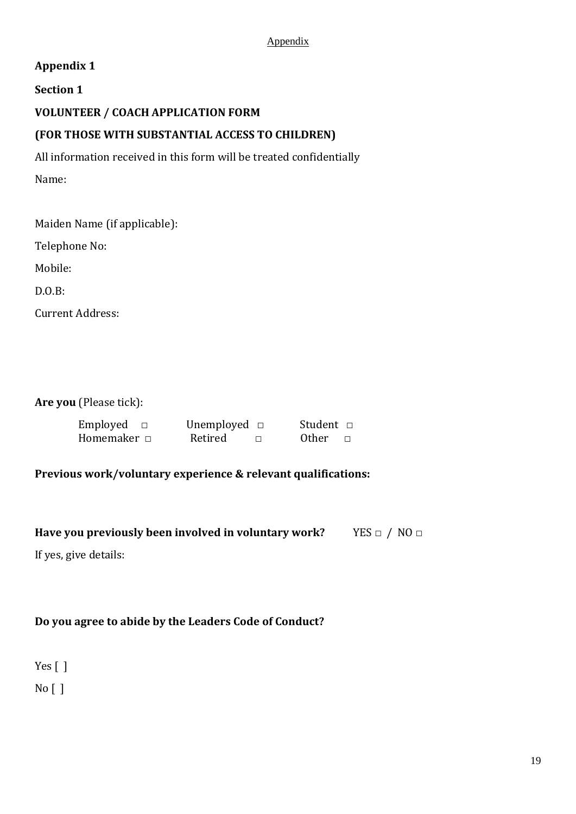#### Appendix

### **Appendix 1**

### **Section 1**

### **VOLUNTEER / COACH APPLICATION FORM**

## **(FOR THOSE WITH SUBSTANTIAL ACCESS TO CHILDREN)**

All information received in this form will be treated confidentially Name:

Maiden Name (if applicable):

Telephone No:

Mobile:

D.O.B:

Current Address:

**Are you** (Please tick):

| Employed         | Unemployed $\Box$ | Student □    |
|------------------|-------------------|--------------|
| Homemaker $\Box$ | Retired           | <b>Other</b> |

### **Previous work/voluntary experience & relevant qualifications:**

**Have you previously been involved in voluntary work?** YES □ / NO □

If yes, give details:

## **Do you agree to abide by the Leaders Code of Conduct?**

Yes [] No [ ]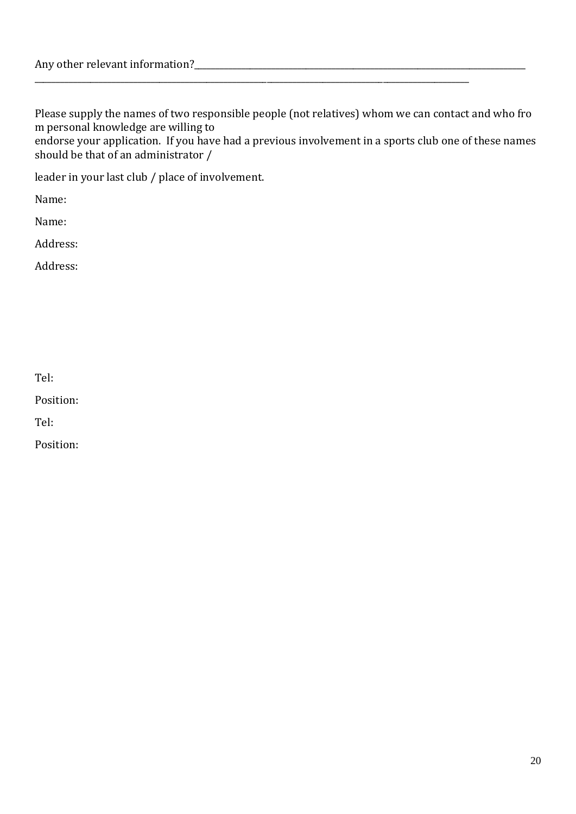Please supply the names of two responsible people (not relatives) whom we can contact and who fro m personal knowledge are willing to

\_\_\_\_\_\_\_\_\_\_\_\_\_\_\_\_\_\_\_\_\_\_\_\_\_\_\_\_\_\_\_\_\_\_\_\_\_\_\_\_\_\_\_\_\_\_\_\_\_\_\_\_\_\_\_\_\_\_\_\_\_\_\_\_\_\_\_\_\_\_\_\_\_\_\_\_\_\_\_\_\_\_\_\_\_\_\_\_\_\_\_\_\_\_\_\_\_\_\_\_\_

endorse your application. If you have had a previous involvement in a sports club one of these names should be that of an administrator /

leader in your last club / place of involvement.

Name:

Name:

Address:

Address:

Tel:

Position:

Tel:

Position: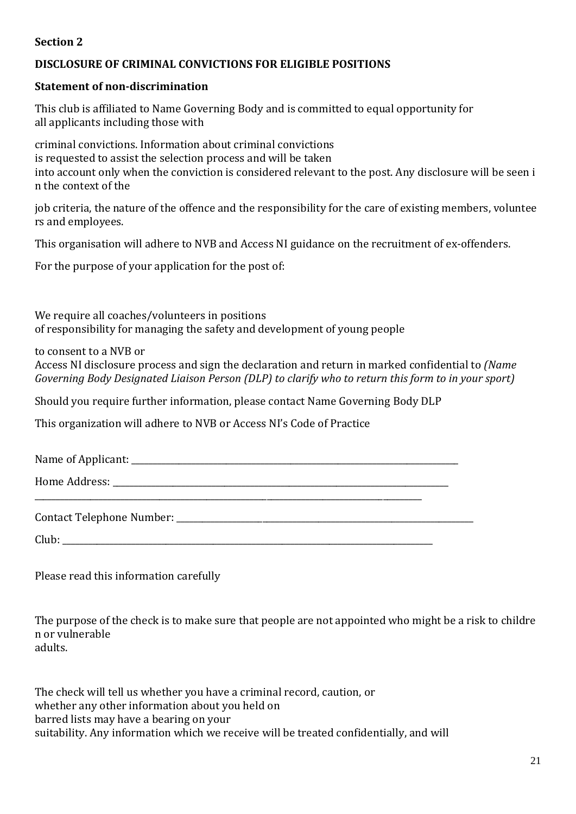### **Section 2**

### **DISCLOSURE OF CRIMINAL CONVICTIONS FOR ELIGIBLE POSITIONS**

#### **Statement of non-discrimination**

This club is affiliated to Name Governing Body and is committed to equal opportunity for all applicants including those with

criminal convictions. Information about criminal convictions is requested to assist the selection process and will be taken into account only when the conviction is considered relevant to the post. Any disclosure will be seen i n the context of the

job criteria, the nature of the offence and the responsibility for the care of existing members, voluntee rs and employees.

This organisation will adhere to NVB and Access NI guidance on the recruitment of ex-offenders.

For the purpose of your application for the post of:

We require all coaches/volunteers in positions of responsibility for managing the safety and development of young people

to consent to a NVB or

Access NI disclosure process and sign the declaration and return in marked confidential to *(Name Governing Body Designated Liaison Person (DLP) to clarify who to return this form to in your sport)*

Should you require further information, please contact Name Governing Body DLP

This organization will adhere to NVB or Access NI's Code of Practice

| Name of Applicant: |  |
|--------------------|--|
|                    |  |

Home Address: **with a strategies** of the strategies of the strategies of the strategies of the strategies of the strategies of the strategies of the strategies of the strategies of the strategies of the strategies of the s

| <b>Contact Telephone Number:</b> |  |
|----------------------------------|--|
|                                  |  |

 $\text{Club:}$ 

\_\_\_\_\_\_\_\_\_\_\_\_\_\_\_\_\_\_\_\_\_\_\_\_\_\_\_\_\_\_\_\_\_\_\_\_\_\_\_\_\_\_\_\_\_\_\_\_\_\_\_\_\_\_\_\_\_\_\_\_\_\_\_\_\_\_\_\_\_\_\_\_\_\_\_\_\_\_\_\_\_\_\_\_\_\_\_\_\_\_

Please read this information carefully

The purpose of the check is to make sure that people are not appointed who might be a risk to childre n or vulnerable adults.

The check will tell us whether you have a criminal record, caution, or whether any other information about you held on barred lists may have a bearing on your suitability. Any information which we receive will be treated confidentially, and will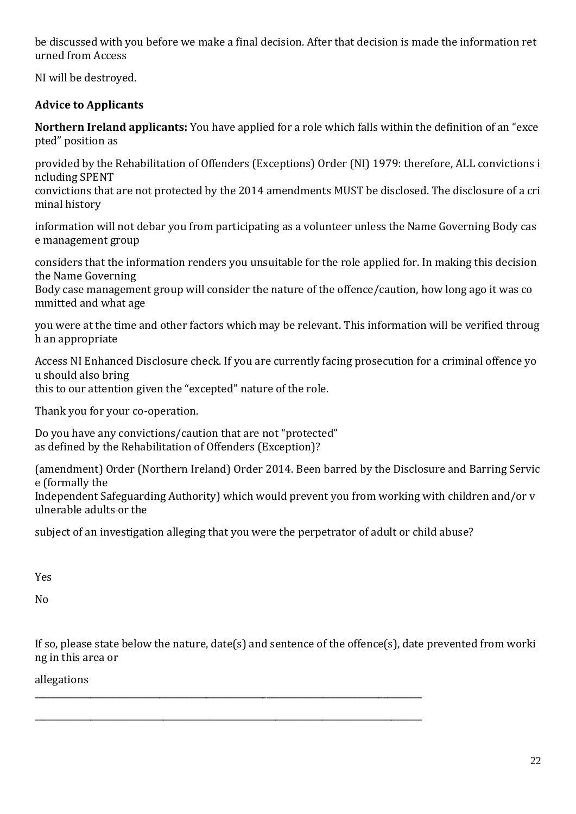be discussed with you before we make a final decision. After that decision is made the information ret urned from Access

NI will be destroyed.

## **Advice to Applicants**

**Northern Ireland applicants:** You have applied for a role which falls within the definition of an "exce pted" position as

provided by the Rehabilitation of Offenders (Exceptions) Order (NI) 1979: therefore, ALL convictions i ncluding SPENT

convictions that are not protected by the 2014 amendments MUST be disclosed. The disclosure of a cri minal history

information will not debar you from participating as a volunteer unless the Name Governing Body cas e management group

considers that the information renders you unsuitable for the role applied for. In making this decision the Name Governing

Body case management group will consider the nature of the offence/caution, how long ago it was co mmitted and what age

you were at the time and other factors which may be relevant. This information will be verified throug h an appropriate

Access NI Enhanced Disclosure check. If you are currently facing prosecution for a criminal offence yo u should also bring this to our attention given the "excepted" nature of the role.

Thank you for your co-operation.

Do you have any convictions/caution that are not "protected" as defined by the Rehabilitation of Offenders (Exception)?

(amendment) Order (Northern Ireland) Order 2014. Been barred by the Disclosure and Barring Servic e (formally the

Independent Safeguarding Authority) which would prevent you from working with children and/or v ulnerable adults or the

subject of an investigation alleging that you were the perpetrator of adult or child abuse?

\_\_\_\_\_\_\_\_\_\_\_\_\_\_\_\_\_\_\_\_\_\_\_\_\_\_\_\_\_\_\_\_\_\_\_\_\_\_\_\_\_\_\_\_\_\_\_\_\_\_\_\_\_\_\_\_\_\_\_\_\_\_\_\_\_\_\_\_\_\_\_\_\_\_\_\_\_\_\_\_\_\_\_\_\_\_\_\_\_\_

\_\_\_\_\_\_\_\_\_\_\_\_\_\_\_\_\_\_\_\_\_\_\_\_\_\_\_\_\_\_\_\_\_\_\_\_\_\_\_\_\_\_\_\_\_\_\_\_\_\_\_\_\_\_\_\_\_\_\_\_\_\_\_\_\_\_\_\_\_\_\_\_\_\_\_\_\_\_\_\_\_\_\_\_\_\_\_\_\_\_

Yes

No

If so, please state below the nature, date(s) and sentence of the offence(s), date prevented from worki ng in this area or

allegations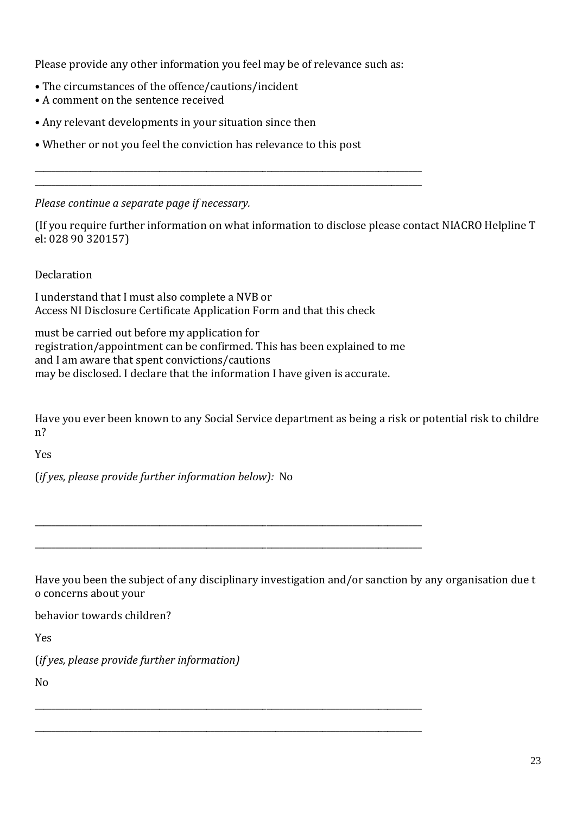Please provide any other information you feel may be of relevance such as:

\_\_\_\_\_\_\_\_\_\_\_\_\_\_\_\_\_\_\_\_\_\_\_\_\_\_\_\_\_\_\_\_\_\_\_\_\_\_\_\_\_\_\_\_\_\_\_\_\_\_\_\_\_\_\_\_\_\_\_\_\_\_\_\_\_\_\_\_\_\_\_\_\_\_\_\_\_\_\_\_\_\_\_\_\_\_\_\_\_\_ \_\_\_\_\_\_\_\_\_\_\_\_\_\_\_\_\_\_\_\_\_\_\_\_\_\_\_\_\_\_\_\_\_\_\_\_\_\_\_\_\_\_\_\_\_\_\_\_\_\_\_\_\_\_\_\_\_\_\_\_\_\_\_\_\_\_\_\_\_\_\_\_\_\_\_\_\_\_\_\_\_\_\_\_\_\_\_\_\_\_

- The circumstances of the offence/cautions/incident
- A comment on the sentence received
- Any relevant developments in your situation since then
- Whether or not you feel the conviction has relevance to this post

*Please continue a separate page if necessary.*

(If you require further information on what information to disclose please contact NIACRO Helpline T el: 028 90 320157)

Declaration

I understand that I must also complete a NVB or Access NI Disclosure Certificate Application Form and that this check

must be carried out before my application for registration/appointment can be confirmed. This has been explained to me and I am aware that spent convictions/cautions may be disclosed. I declare that the information I have given is accurate.

\_\_\_\_\_\_\_\_\_\_\_\_\_\_\_\_\_\_\_\_\_\_\_\_\_\_\_\_\_\_\_\_\_\_\_\_\_\_\_\_\_\_\_\_\_\_\_\_\_\_\_\_\_\_\_\_\_\_\_\_\_\_\_\_\_\_\_\_\_\_\_\_\_\_\_\_\_\_\_\_\_\_\_\_\_\_\_\_\_\_

\_\_\_\_\_\_\_\_\_\_\_\_\_\_\_\_\_\_\_\_\_\_\_\_\_\_\_\_\_\_\_\_\_\_\_\_\_\_\_\_\_\_\_\_\_\_\_\_\_\_\_\_\_\_\_\_\_\_\_\_\_\_\_\_\_\_\_\_\_\_\_\_\_\_\_\_\_\_\_\_\_\_\_\_\_\_\_\_\_\_

\_\_\_\_\_\_\_\_\_\_\_\_\_\_\_\_\_\_\_\_\_\_\_\_\_\_\_\_\_\_\_\_\_\_\_\_\_\_\_\_\_\_\_\_\_\_\_\_\_\_\_\_\_\_\_\_\_\_\_\_\_\_\_\_\_\_\_\_\_\_\_\_\_\_\_\_\_\_\_\_\_\_\_\_\_\_\_\_\_\_

\_\_\_\_\_\_\_\_\_\_\_\_\_\_\_\_\_\_\_\_\_\_\_\_\_\_\_\_\_\_\_\_\_\_\_\_\_\_\_\_\_\_\_\_\_\_\_\_\_\_\_\_\_\_\_\_\_\_\_\_\_\_\_\_\_\_\_\_\_\_\_\_\_\_\_\_\_\_\_\_\_\_\_\_\_\_\_\_\_\_

Have you ever been known to any Social Service department as being a risk or potential risk to childre n?

Yes

(*if yes, please provide further information below):* No

Have you been the subject of any disciplinary investigation and/or sanction by any organisation due t o concerns about your

behavior towards children?

Yes

(*if yes, please provide further information)* 

No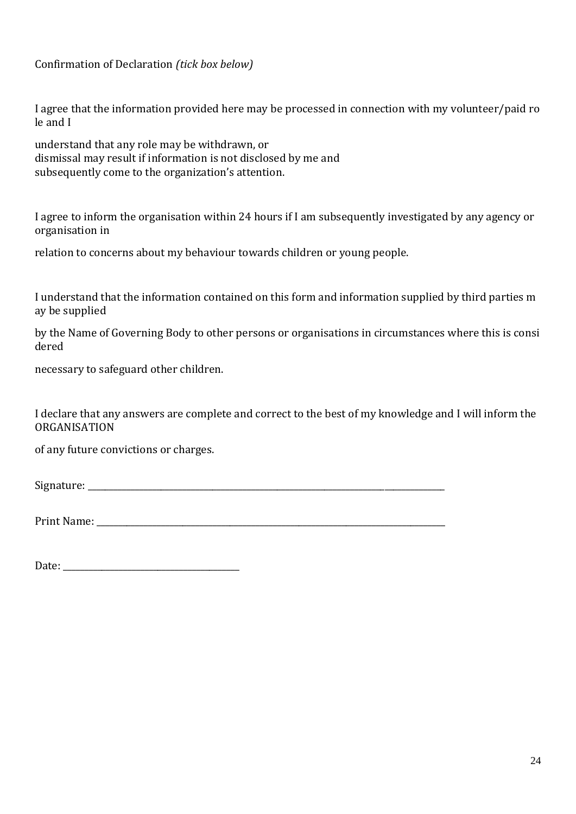Confirmation of Declaration *(tick box below)*

I agree that the information provided here may be processed in connection with my volunteer/paid ro le and I

understand that any role may be withdrawn, or dismissal may result if information is not disclosed by me and subsequently come to the organization's attention.

I agree to inform the organisation within 24 hours if I am subsequently investigated by any agency or organisation in

relation to concerns about my behaviour towards children or young people.

I understand that the information contained on this form and information supplied by third parties m ay be supplied

by the Name of Governing Body to other persons or organisations in circumstances where this is consi dered

necessary to safeguard other children.

I declare that any answers are complete and correct to the best of my knowledge and I will inform the ORGANISATION

of any future convictions or charges.

Signature:

Print Name: \_\_\_\_\_\_\_\_\_\_\_\_\_\_\_\_\_\_\_\_\_\_\_\_\_\_\_\_\_\_\_\_\_\_\_\_\_\_\_\_\_\_\_\_\_\_\_\_\_\_\_\_\_\_\_\_\_\_\_\_\_\_\_\_\_\_\_\_\_\_\_\_\_\_\_\_\_\_\_\_\_

Date: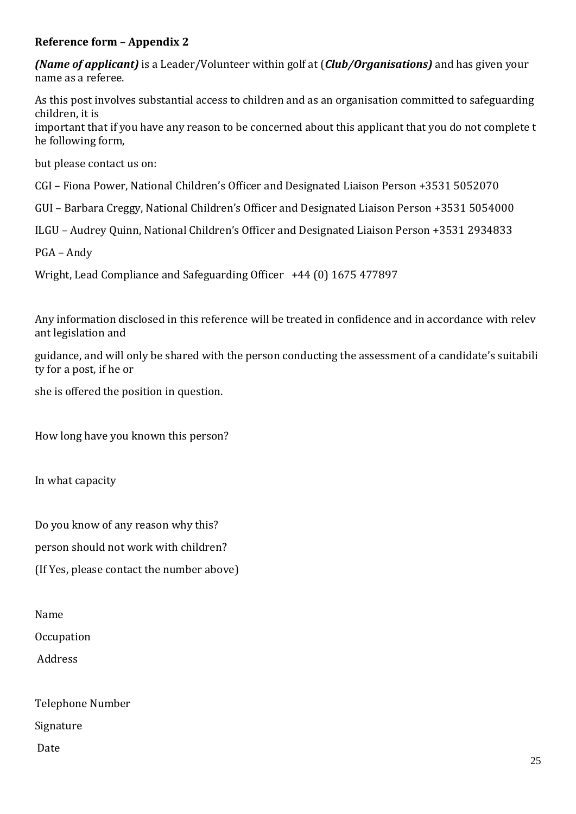### **Reference form – Appendix 2**

*(Name of applicant)* is a Leader/Volunteer within golf at (*Club/Organisations)* and has given your name as a referee.

As this post involves substantial access to children and as an organisation committed to safeguarding children, it is

important that if you have any reason to be concerned about this applicant that you do not complete t he following form,

but please contact us on:

CGI – Fiona Power, National Children's Officer and Designated Liaison Person +3531 5052070

GUI – Barbara Creggy, National Children's Officer and Designated Liaison Person +3531 5054000

ILGU – Audrey Quinn, National Children's Officer and Designated Liaison Person +3531 2934833

PGA – Andy

Wright, Lead Compliance and Safeguarding Officer +44 (0) 1675 477897

Any information disclosed in this reference will be treated in confidence and in accordance with relev ant legislation and

guidance, and will only be shared with the person conducting the assessment of a candidate's suitabili ty for a post, if he or

she is offered the position in question.

How long have you known this person?

In what capacity

Do you know of any reason why this?

person should not work with children?

(If Yes, please contact the number above)

Name

**Occupation** 

Address

Telephone Number Signature Date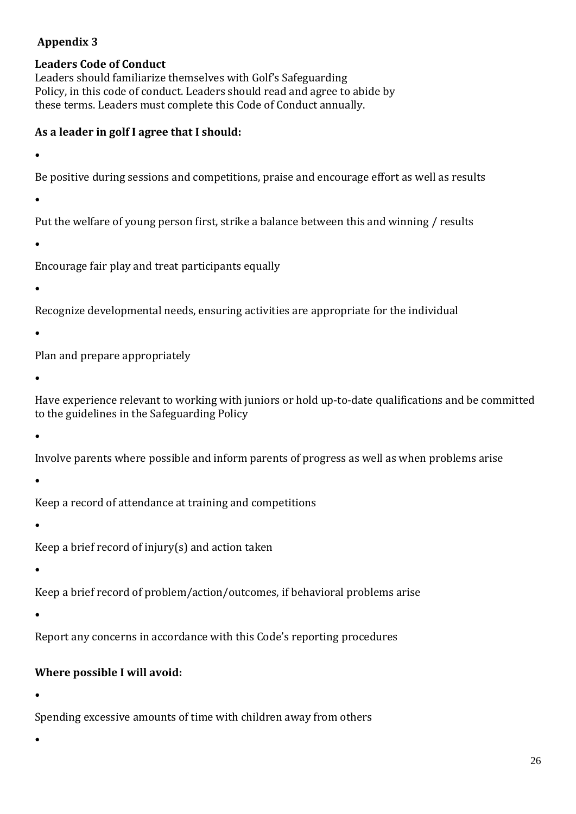### **Appendix 3**

### **Leaders Code of Conduct**

Leaders should familiarize themselves with Golf's Safeguarding Policy, in this code of conduct. Leaders should read and agree to abide by these terms. Leaders must complete this Code of Conduct annually.

### **As a leader in golf I agree that I should:**

•

Be positive during sessions and competitions, praise and encourage effort as well as results

•

Put the welfare of young person first, strike a balance between this and winning / results

•

Encourage fair play and treat participants equally

•

Recognize developmental needs, ensuring activities are appropriate for the individual

•

Plan and prepare appropriately

•

Have experience relevant to working with juniors or hold up-to-date qualifications and be committed to the guidelines in the Safeguarding Policy

•

Involve parents where possible and inform parents of progress as well as when problems arise

•

Keep a record of attendance at training and competitions

•

Keep a brief record of injury(s) and action taken

•

Keep a brief record of problem/action/outcomes, if behavioral problems arise

•

Report any concerns in accordance with this Code's reporting procedures

## **Where possible I will avoid:**

•

Spending excessive amounts of time with children away from others

•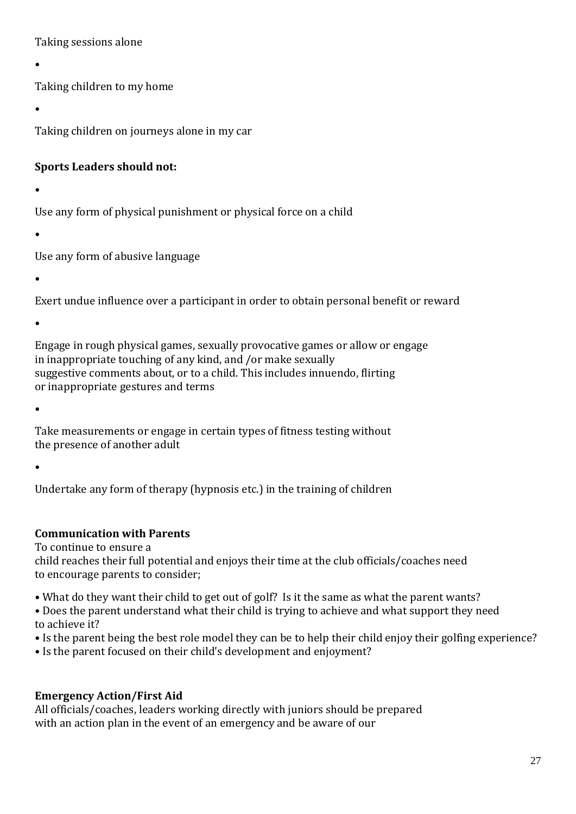Taking sessions alone

•

Taking children to my home

•

Taking children on journeys alone in my car

### **Sports Leaders should not:**

•

Use any form of physical punishment or physical force on a child

•

Use any form of abusive language

•

Exert undue influence over a participant in order to obtain personal benefit or reward

•

Engage in rough physical games, sexually provocative games or allow or engage in inappropriate touching of any kind, and /or make sexually suggestive comments about, or to a child. This includes innuendo, flirting or inappropriate gestures and terms

•

Take measurements or engage in certain types of fitness testing without the presence of another adult

•

Undertake any form of therapy (hypnosis etc.) in the training of children

## **Communication with Parents**

To continue to ensure a

child reaches their full potential and enjoys their time at the club officials/coaches need to encourage parents to consider;

• What do they want their child to get out of golf? Is it the same as what the parent wants?

• Does the parent understand what their child is trying to achieve and what support they need to achieve it?

• Is the parent being the best role model they can be to help their child enjoy their golfing experience?

• Is the parent focused on their child's development and enjoyment?

## **Emergency Action/First Aid**

All officials/coaches, leaders working directly with juniors should be prepared with an action plan in the event of an emergency and be aware of our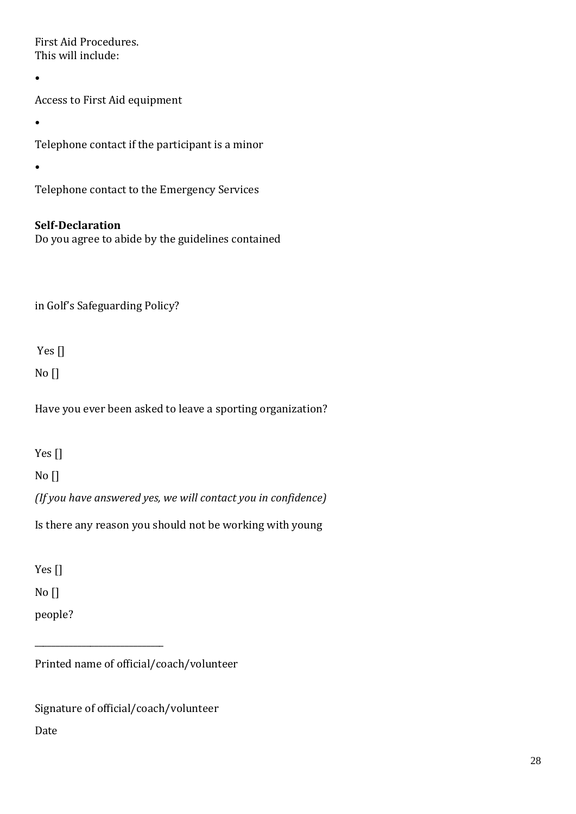First Aid Procedures. This will include:

•

Access to First Aid equipment

•

Telephone contact if the participant is a minor

•

Telephone contact to the Emergency Services

## **Self-Declaration**

Do you agree to abide by the guidelines contained

in Golf's Safeguarding Policy?

Yes []

No []

Have you ever been asked to leave a sporting organization?

Yes []

No []

*(If you have answered yes, we will contact you in confidence)*

Is there any reason you should not be working with young

Yes []

No []

people?

Printed name of official/coach/volunteer

Signature of official/coach/volunteer

\_\_\_\_\_\_\_\_\_\_\_\_\_\_\_\_\_\_\_\_\_\_\_\_\_\_\_\_\_\_

Date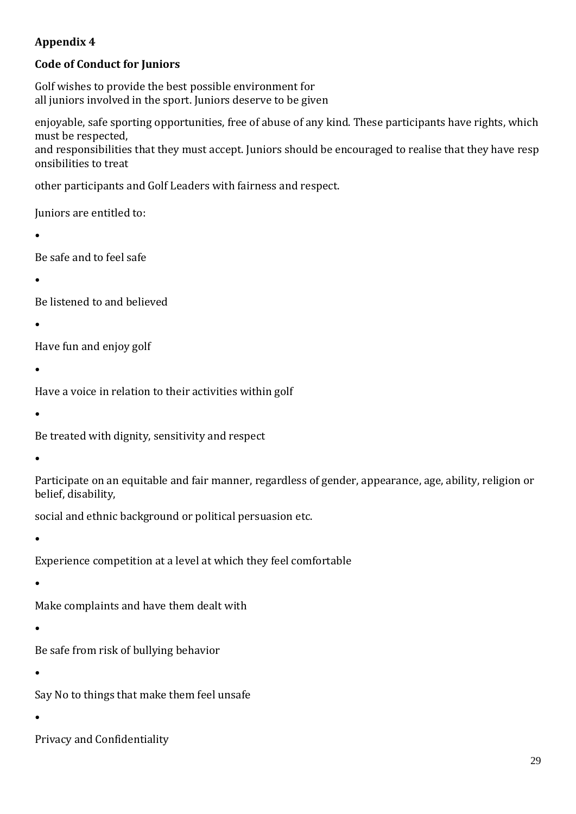## **Appendix 4**

## **Code of Conduct for Juniors**

Golf wishes to provide the best possible environment for all juniors involved in the sport. Juniors deserve to be given

enjoyable, safe sporting opportunities, free of abuse of any kind. These participants have rights, which must be respected, and responsibilities that they must accept. Juniors should be encouraged to realise that they have resp onsibilities to treat

other participants and Golf Leaders with fairness and respect.

Juniors are entitled to:

•

Be safe and to feel safe

•

Be listened to and believed

•

Have fun and enjoy golf

•

Have a voice in relation to their activities within golf

•

Be treated with dignity, sensitivity and respect

•

Participate on an equitable and fair manner, regardless of gender, appearance, age, ability, religion or belief, disability,

social and ethnic background or political persuasion etc.

•

Experience competition at a level at which they feel comfortable

•

Make complaints and have them dealt with

•

Be safe from risk of bullying behavior

•

Say No to things that make them feel unsafe

•

Privacy and Confidentiality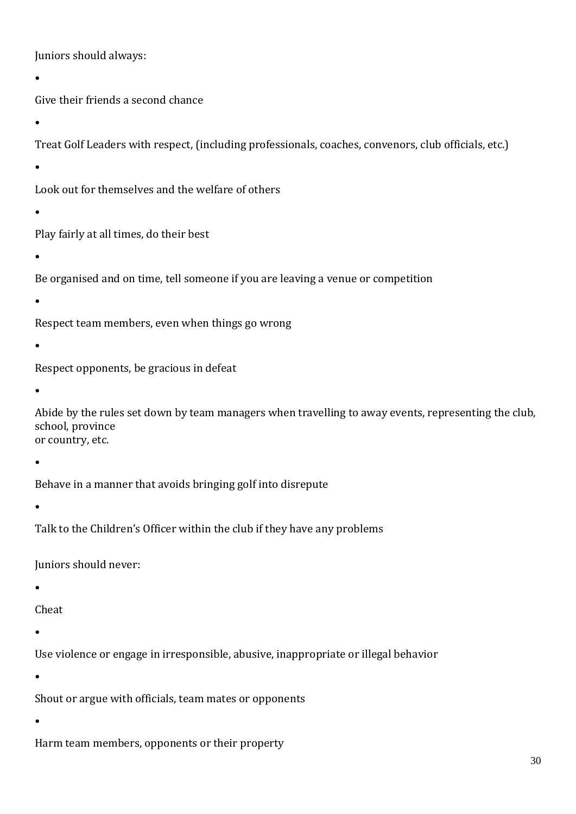Juniors should always:

•

Give their friends a second chance

•

Treat Golf Leaders with respect, (including professionals, coaches, convenors, club officials, etc.)

•

Look out for themselves and the welfare of others

•

Play fairly at all times, do their best

•

Be organised and on time, tell someone if you are leaving a venue or competition

•

Respect team members, even when things go wrong

•

Respect opponents, be gracious in defeat

•

Abide by the rules set down by team managers when travelling to away events, representing the club, school, province or country, etc.

•

Behave in a manner that avoids bringing golf into disrepute

•

Talk to the Children's Officer within the club if they have any problems

Juniors should never:

•

Cheat

•

Use violence or engage in irresponsible, abusive, inappropriate or illegal behavior

•

Shout or argue with officials, team mates or opponents

•

Harm team members, opponents or their property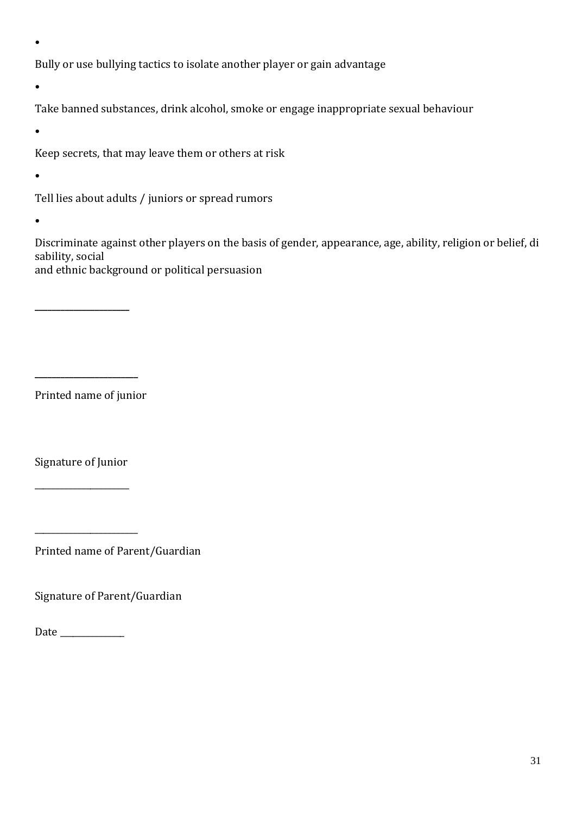•

Bully or use bullying tactics to isolate another player or gain advantage

•

Take banned substances, drink alcohol, smoke or engage inappropriate sexual behaviour

•

Keep secrets, that may leave them or others at risk

•

Tell lies about adults / juniors or spread rumors

•

Discriminate against other players on the basis of gender, appearance, age, ability, religion or belief, di sability, social and ethnic background or political persuasion

Printed name of junior

**\_\_\_\_\_\_\_\_\_\_\_\_\_\_\_\_\_\_\_\_\_\_\_\_**

**\_\_\_\_\_\_\_\_\_\_\_\_\_\_\_\_\_\_\_\_\_\_**

Signature of Junior

\_\_\_\_\_\_\_\_\_\_\_\_\_\_\_\_\_\_\_\_\_\_

\_\_\_\_\_\_\_\_\_\_\_\_\_\_\_\_\_\_\_\_\_\_\_\_

Printed name of Parent/Guardian

Signature of Parent/Guardian

Date \_\_\_\_\_\_\_\_\_\_\_\_\_\_\_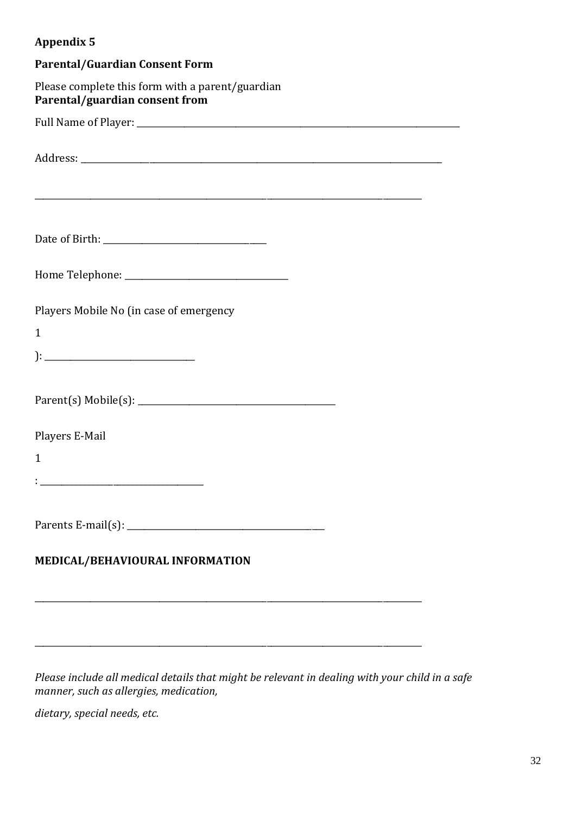## **Appendix 5**

| <b>Parental/Guardian Consent Form</b>                                              |
|------------------------------------------------------------------------------------|
| Please complete this form with a parent/guardian<br>Parental/guardian consent from |
|                                                                                    |
|                                                                                    |
|                                                                                    |
|                                                                                    |
| Players Mobile No (in case of emergency<br>$\mathbf{1}$                            |
|                                                                                    |
|                                                                                    |
| Players E-Mail                                                                     |
| $\mathbf{1}$                                                                       |
|                                                                                    |
|                                                                                    |
| MEDICAL/BEHAVIOURAL INFORMATION                                                    |
|                                                                                    |

*Please include all medical details that might be relevant in dealing with your child in a safe manner, such as allergies, medication,*

\_\_\_\_\_\_\_\_\_\_\_\_\_\_\_\_\_\_\_\_\_\_\_\_\_\_\_\_\_\_\_\_\_\_\_\_\_\_\_\_\_\_\_\_\_\_\_\_\_\_\_\_\_\_\_\_\_\_\_\_\_\_\_\_\_\_\_\_\_\_\_\_\_\_\_\_\_\_\_\_\_\_\_\_\_\_\_\_\_\_

*dietary, special needs, etc.*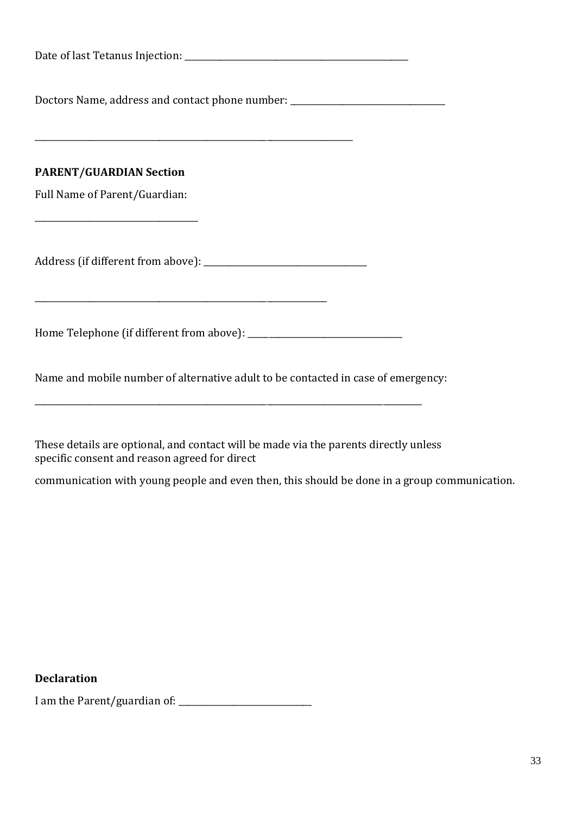| Date of last Tetanus Injection: |  |
|---------------------------------|--|
|---------------------------------|--|

Doctors Name, address and contact phone number: \_\_\_\_\_\_\_\_\_\_\_\_\_\_\_\_\_\_\_\_\_\_\_\_\_\_\_\_\_\_\_\_

\_\_\_\_\_\_\_\_\_\_\_\_\_\_\_\_\_\_\_\_\_\_\_\_\_\_\_\_\_\_\_\_\_\_\_\_\_\_\_\_\_\_\_\_\_\_\_\_\_\_\_\_\_\_\_\_\_\_\_\_\_\_\_\_\_\_\_\_\_\_\_\_\_\_

### **PARENT/GUARDIAN Section**

Full Name of Parent/Guardian:

\_\_\_\_\_\_\_\_\_\_\_\_\_\_\_\_\_\_\_\_\_\_\_\_\_\_\_\_\_\_\_\_\_\_\_\_\_\_

Address (if different from above): \_\_\_\_\_\_\_\_\_\_\_\_\_\_\_\_\_\_\_\_\_\_\_\_\_\_\_\_\_\_\_\_\_\_\_\_\_\_

\_\_\_\_\_\_\_\_\_\_\_\_\_\_\_\_\_\_\_\_\_\_\_\_\_\_\_\_\_\_\_\_\_\_\_\_\_\_\_\_\_\_\_\_\_\_\_\_\_\_\_\_\_\_\_\_\_\_\_\_\_\_\_\_\_\_\_\_

Home Telephone (if different from above): \_\_\_\_\_\_\_\_\_\_\_\_\_\_\_\_\_\_\_\_\_\_\_\_\_\_\_\_\_\_\_\_\_\_\_\_

Name and mobile number of alternative adult to be contacted in case of emergency:

\_\_\_\_\_\_\_\_\_\_\_\_\_\_\_\_\_\_\_\_\_\_\_\_\_\_\_\_\_\_\_\_\_\_\_\_\_\_\_\_\_\_\_\_\_\_\_\_\_\_\_\_\_\_\_\_\_\_\_\_\_\_\_\_\_\_\_\_\_\_\_\_\_\_\_\_\_\_\_\_\_\_\_\_\_\_\_\_\_\_

These details are optional, and contact will be made via the parents directly unless specific consent and reason agreed for direct

communication with young people and even then, this should be done in a group communication.

**Declaration**

I am the Parent/guardian of: \_\_\_\_\_\_\_\_\_\_\_\_\_\_\_\_\_\_\_\_\_\_\_\_\_\_\_\_\_\_\_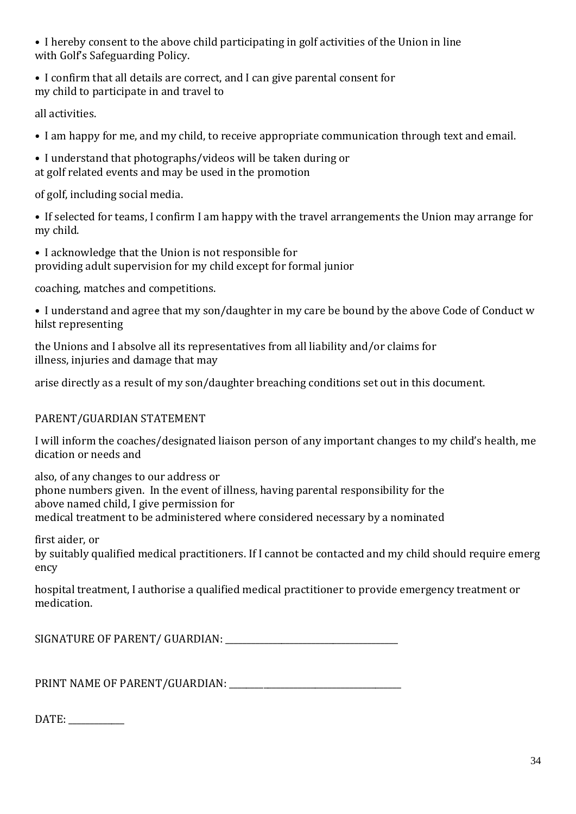• I hereby consent to the above child participating in golf activities of the Union in line with Golf's Safeguarding Policy.

• I confirm that all details are correct, and I can give parental consent for my child to participate in and travel to

all activities.

- I am happy for me, and my child, to receive appropriate communication through text and email.
- I understand that photographs/videos will be taken during or at golf related events and may be used in the promotion

of golf, including social media.

• If selected for teams, I confirm I am happy with the travel arrangements the Union may arrange for my child.

• I acknowledge that the Union is not responsible for providing adult supervision for my child except for formal junior

coaching, matches and competitions.

• I understand and agree that my son/daughter in my care be bound by the above Code of Conduct w hilst representing

the Unions and I absolve all its representatives from all liability and/or claims for illness, injuries and damage that may

arise directly as a result of my son/daughter breaching conditions set out in this document.

## PARENT/GUARDIAN STATEMENT

I will inform the coaches/designated liaison person of any important changes to my child's health, me dication or needs and

also, of any changes to our address or phone numbers given. In the event of illness, having parental responsibility for the above named child, I give permission for medical treatment to be administered where considered necessary by a nominated

first aider, or

by suitably qualified medical practitioners. If I cannot be contacted and my child should require emerg ency

hospital treatment, I authorise a qualified medical practitioner to provide emergency treatment or medication.

SIGNATURE OF PARENT/ GUARDIAN: \_\_\_\_\_\_\_\_\_\_\_\_\_\_\_\_\_\_\_\_\_\_\_\_\_\_\_\_\_\_\_\_\_\_\_\_\_\_\_\_

PRINT NAME OF PARENT/GUARDIAN: \_\_\_\_\_\_\_\_\_\_\_\_\_\_\_\_\_\_\_\_\_\_\_\_\_\_\_\_\_\_\_\_\_\_\_\_\_\_\_\_

DATE: \_\_\_\_\_\_\_\_\_\_\_\_\_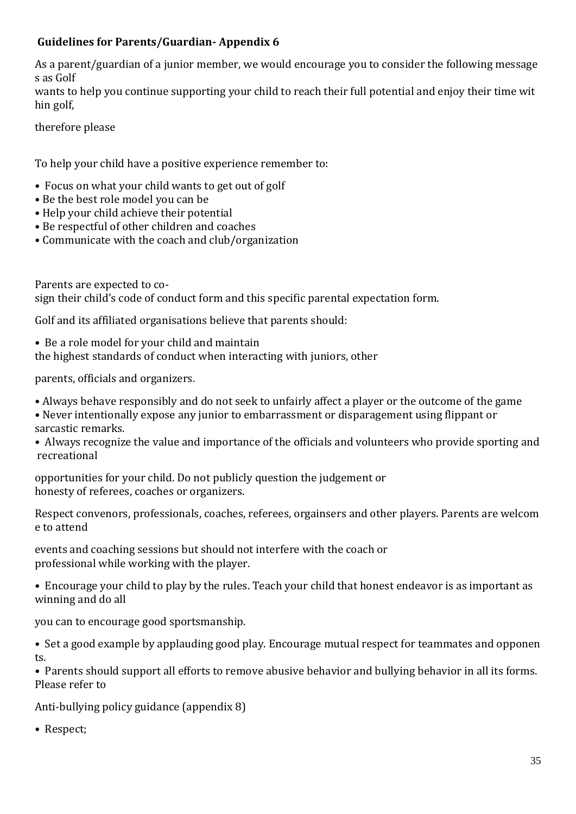## **Guidelines for Parents/Guardian- Appendix 6**

As a parent/guardian of a junior member, we would encourage you to consider the following message s as Golf

wants to help you continue supporting your child to reach their full potential and enjoy their time wit hin golf,

therefore please

To help your child have a positive experience remember to:

- Focus on what your child wants to get out of golf
- Be the best role model you can be
- Help your child achieve their potential
- Be respectful of other children and coaches
- Communicate with the coach and club/organization

Parents are expected to cosign their child's code of conduct form and this specific parental expectation form.

Golf and its affiliated organisations believe that parents should:

• Be a role model for your child and maintain the highest standards of conduct when interacting with juniors, other

parents, officials and organizers.

• Always behave responsibly and do not seek to unfairly affect a player or the outcome of the game

- Never intentionally expose any junior to embarrassment or disparagement using flippant or sarcastic remarks.
- Always recognize the value and importance of the officials and volunteers who provide sporting and recreational

opportunities for your child. Do not publicly question the judgement or honesty of referees, coaches or organizers.

Respect convenors, professionals, coaches, referees, orgainsers and other players. Parents are welcom e to attend

events and coaching sessions but should not interfere with the coach or professional while working with the player.

• Encourage your child to play by the rules. Teach your child that honest endeavor is as important as winning and do all

you can to encourage good sportsmanship.

• Set a good example by applauding good play. Encourage mutual respect for teammates and opponen ts.

• Parents should support all efforts to remove abusive behavior and bullying behavior in all its forms. Please refer to

Anti-bullying policy guidance (appendix 8)

• Respect;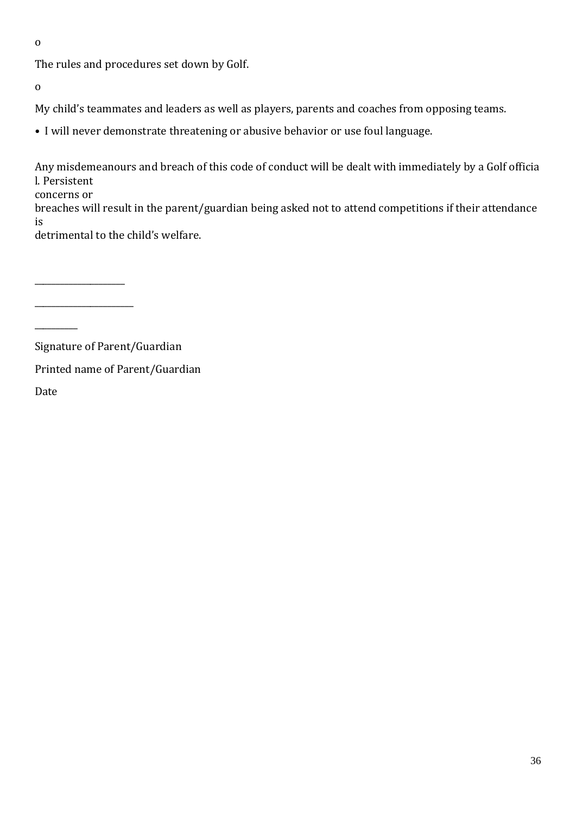o

The rules and procedures set down by Golf.

o

My child's teammates and leaders as well as players, parents and coaches from opposing teams.

• I will never demonstrate threatening or abusive behavior or use foul language.

Any misdemeanours and breach of this code of conduct will be dealt with immediately by a Golf officia l. Persistent

concerns or

\_\_\_\_\_\_\_\_\_\_\_\_\_\_\_\_\_\_\_\_\_

\_\_\_\_\_\_\_\_\_\_\_\_\_\_\_\_\_\_\_\_\_\_\_

breaches will result in the parent/guardian being asked not to attend competitions if their attendance is

detrimental to the child's welfare.

 $\overline{\phantom{a}}$ 

Signature of Parent/Guardian

Printed name of Parent/Guardian

Date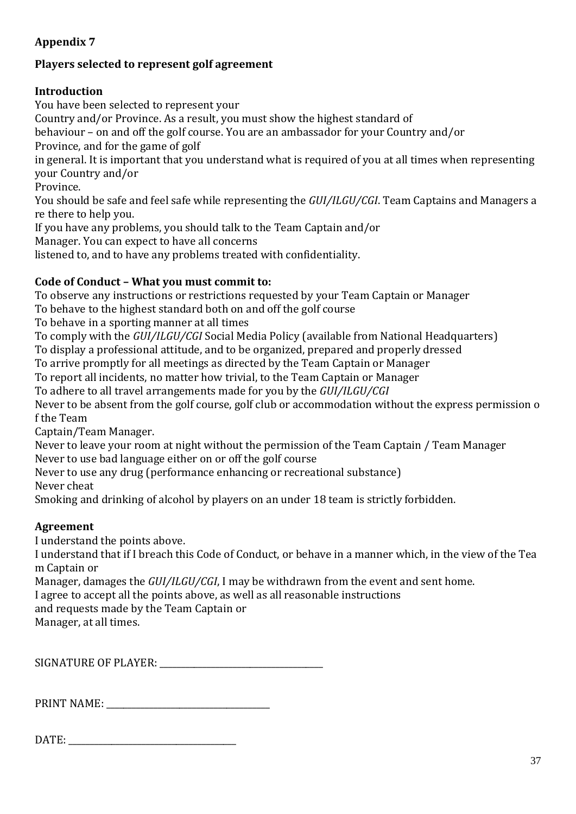## **Appendix 7**

## **Players selected to represent golf agreement**

## **Introduction**

You have been selected to represent your Country and/or Province. As a result, you must show the highest standard of behaviour – on and off the golf course. You are an ambassador for your Country and/or Province, and for the game of golf in general. It is important that you understand what is required of you at all times when representing your Country and/or Province. You should be safe and feel safe while representing the *GUI/ILGU/CGI*. Team Captains and Managers a re there to help you.

If you have any problems, you should talk to the Team Captain and/or

Manager. You can expect to have all concerns

listened to, and to have any problems treated with confidentiality.

## **Code of Conduct – What you must commit to:**

To observe any instructions or restrictions requested by your Team Captain or Manager

To behave to the highest standard both on and off the golf course

To behave in a sporting manner at all times

To comply with the *GUI/ILGU/CGI* Social Media Policy (available from National Headquarters)

To display a professional attitude, and to be organized, prepared and properly dressed

To arrive promptly for all meetings as directed by the Team Captain or Manager

To report all incidents, no matter how trivial, to the Team Captain or Manager

To adhere to all travel arrangements made for you by the *GUI/ILGU/CGI*

Never to be absent from the golf course, golf club or accommodation without the express permission o f the Team

Captain/Team Manager.

Never to leave your room at night without the permission of the Team Captain / Team Manager Never to use bad language either on or off the golf course

Never to use any drug (performance enhancing or recreational substance)

Never cheat

Smoking and drinking of alcohol by players on an under 18 team is strictly forbidden.

## **Agreement**

I understand the points above.

I understand that if I breach this Code of Conduct, or behave in a manner which, in the view of the Tea m Captain or

Manager, damages the *GUI/ILGU/CGI*, I may be withdrawn from the event and sent home.

I agree to accept all the points above, as well as all reasonable instructions

and requests made by the Team Captain or

Manager, at all times.

SIGNATURE OF PLAYER: \_\_\_\_\_\_\_\_\_\_\_\_\_\_\_\_\_\_\_\_\_\_\_\_\_\_\_\_\_\_\_\_\_\_\_\_\_\_

PRINT NAME: \_\_\_\_\_\_\_\_\_\_\_\_\_\_\_\_\_\_\_\_\_\_\_\_\_\_\_\_\_\_\_\_\_\_\_\_\_\_

DATE: \_\_\_\_\_\_\_\_\_\_\_\_\_\_\_\_\_\_\_\_\_\_\_\_\_\_\_\_\_\_\_\_\_\_\_\_\_\_\_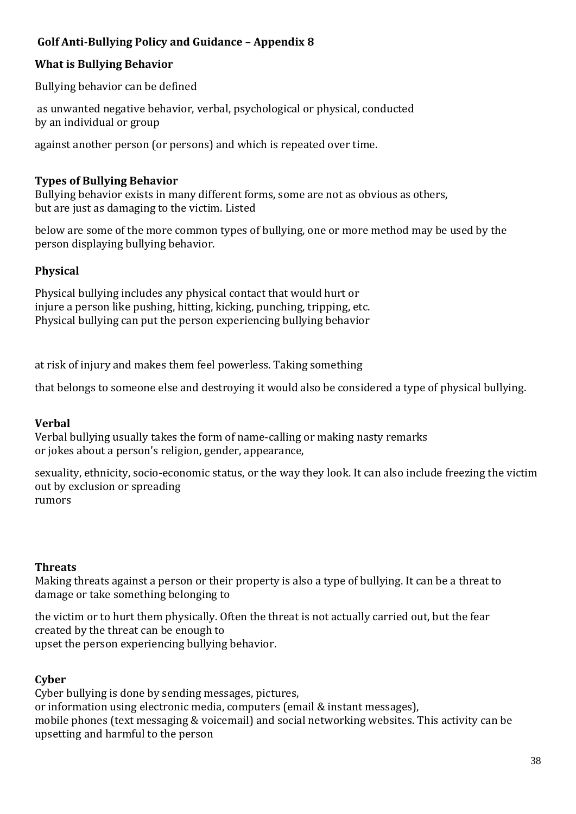## **Golf Anti-Bullying Policy and Guidance – Appendix 8**

### **What is Bullying Behavior**

Bullying behavior can be defined

as unwanted negative behavior, verbal, psychological or physical, conducted by an individual or group

against another person (or persons) and which is repeated over time.

### **Types of Bullying Behavior**

Bullying behavior exists in many different forms, some are not as obvious as others, but are just as damaging to the victim. Listed

below are some of the more common types of bullying, one or more method may be used by the person displaying bullying behavior.

### **Physical**

Physical bullying includes any physical contact that would hurt or injure a person like pushing, hitting, kicking, punching, tripping, etc. Physical bullying can put the person experiencing bullying behavior

at risk of injury and makes them feel powerless. Taking something

that belongs to someone else and destroying it would also be considered a type of physical bullying.

## **Verbal**

Verbal bullying usually takes the form of name-calling or making nasty remarks or jokes about a person's religion, gender, appearance,

sexuality, ethnicity, socio-economic status, or the way they look. It can also include freezing the victim out by exclusion or spreading rumors

**Threats**

Making threats against a person or their property is also a type of bullying. It can be a threat to damage or take something belonging to

the victim or to hurt them physically. Often the threat is not actually carried out, but the fear created by the threat can be enough to upset the person experiencing bullying behavior.

### **Cyber**

Cyber bullying is done by sending messages, pictures, or information using electronic media, computers (email & instant messages), mobile phones (text messaging & voicemail) and social networking websites. This activity can be upsetting and harmful to the person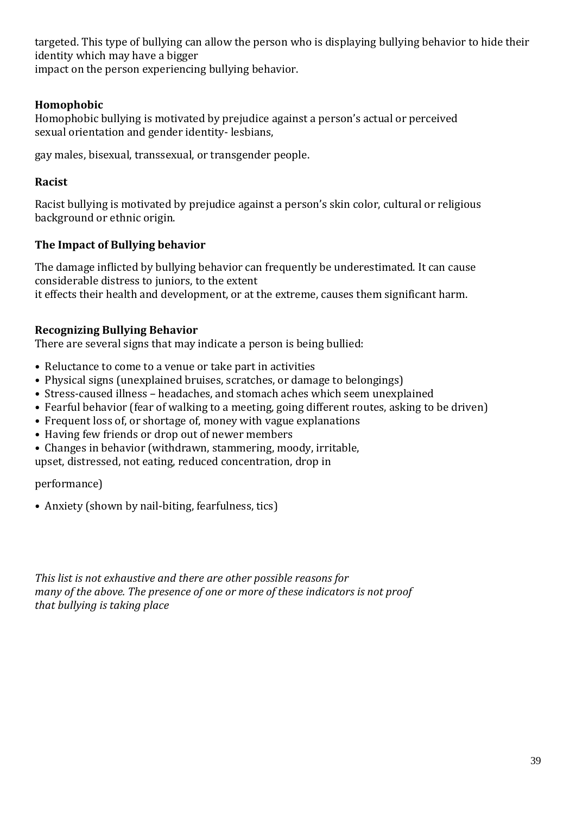targeted. This type of bullying can allow the person who is displaying bullying behavior to hide their identity which may have a bigger

impact on the person experiencing bullying behavior.

## **Homophobic**

Homophobic bullying is motivated by prejudice against a person's actual or perceived sexual orientation and gender identity- lesbians,

gay males, bisexual, transsexual, or transgender people.

### **Racist**

Racist bullying is motivated by prejudice against a person's skin color, cultural or religious background or ethnic origin.

## **The Impact of Bullying behavior**

The damage inflicted by bullying behavior can frequently be underestimated. It can cause considerable distress to juniors, to the extent it effects their health and development, or at the extreme, causes them significant harm.

## **Recognizing Bullying Behavior**

There are several signs that may indicate a person is being bullied:

- Reluctance to come to a venue or take part in activities
- Physical signs (unexplained bruises, scratches, or damage to belongings)
- Stress-caused illness headaches, and stomach aches which seem unexplained
- Fearful behavior (fear of walking to a meeting, going different routes, asking to be driven)
- Frequent loss of, or shortage of, money with vague explanations
- Having few friends or drop out of newer members
- Changes in behavior (withdrawn, stammering, moody, irritable,

upset, distressed, not eating, reduced concentration, drop in

performance)

• Anxiety (shown by nail-biting, fearfulness, tics)

*This list is not exhaustive and there are other possible reasons for many of the above. The presence of one or more of these indicators is not proof that bullying is taking place*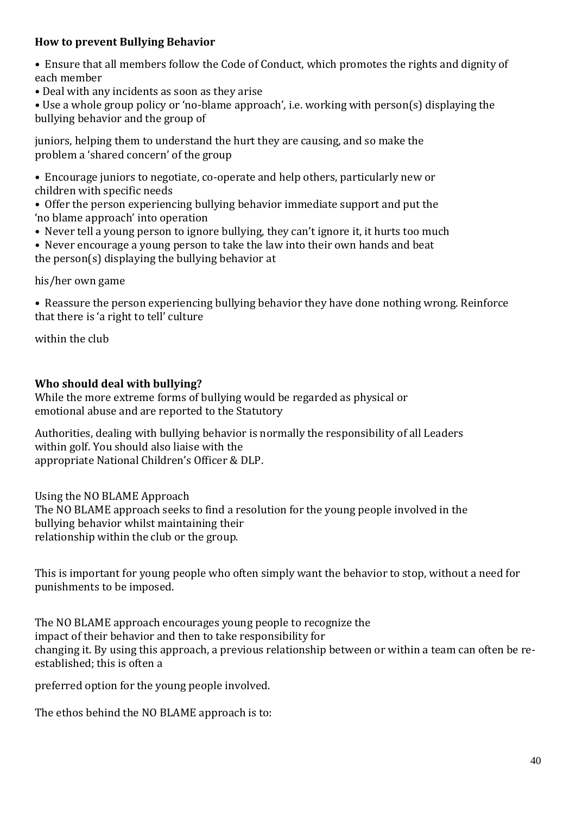### **How to prevent Bullying Behavior**

- Ensure that all members follow the Code of Conduct, which promotes the rights and dignity of each member
- Deal with any incidents as soon as they arise

• Use a whole group policy or 'no-blame approach', i.e. working with person(s) displaying the bullying behavior and the group of

juniors, helping them to understand the hurt they are causing, and so make the problem a 'shared concern' of the group

- Encourage juniors to negotiate, co-operate and help others, particularly new or children with specific needs
- Offer the person experiencing bullying behavior immediate support and put the 'no blame approach' into operation
- Never tell a young person to ignore bullying, they can't ignore it, it hurts too much
- Never encourage a young person to take the law into their own hands and beat the person(s) displaying the bullying behavior at

his/her own game

• Reassure the person experiencing bullying behavior they have done nothing wrong. Reinforce that there is 'a right to tell' culture

within the club

## **Who should deal with bullying?**

While the more extreme forms of bullying would be regarded as physical or emotional abuse and are reported to the Statutory

Authorities, dealing with bullying behavior is normally the responsibility of all Leaders within golf. You should also liaise with the appropriate National Children's Officer & DLP.

## Using the NO BLAME Approach

The NO BLAME approach seeks to find a resolution for the young people involved in the bullying behavior whilst maintaining their relationship within the club or the group.

This is important for young people who often simply want the behavior to stop, without a need for punishments to be imposed.

The NO BLAME approach encourages young people to recognize the impact of their behavior and then to take responsibility for changing it. By using this approach, a previous relationship between or within a team can often be reestablished; this is often a

preferred option for the young people involved.

The ethos behind the NO BLAME approach is to: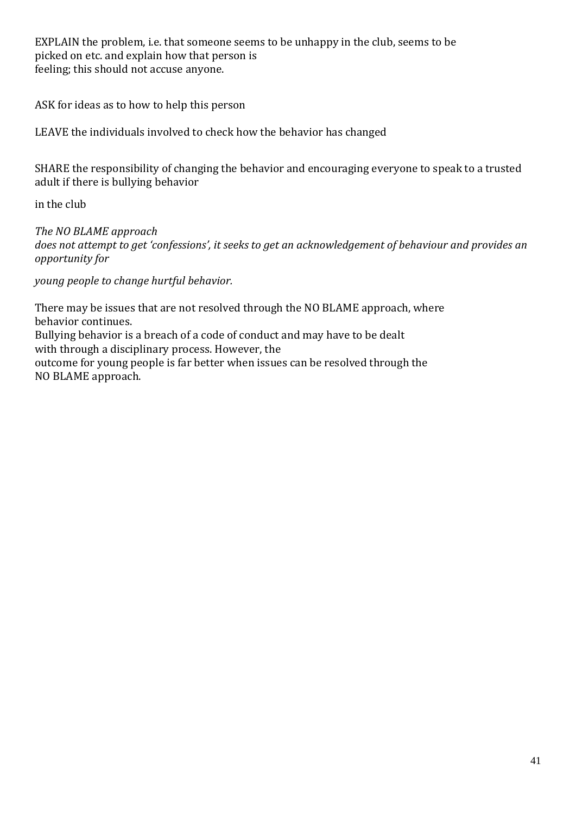EXPLAIN the problem, i.e. that someone seems to be unhappy in the club, seems to be picked on etc. and explain how that person is feeling; this should not accuse anyone.

ASK for ideas as to how to help this person

LEAVE the individuals involved to check how the behavior has changed

SHARE the responsibility of changing the behavior and encouraging everyone to speak to a trusted adult if there is bullying behavior

in the club

*The NO BLAME approach does not attempt to get 'confessions', it seeks to get an acknowledgement of behaviour and provides an opportunity for*

*young people to change hurtful behavior.* 

There may be issues that are not resolved through the NO BLAME approach, where behavior continues. Bullying behavior is a breach of a code of conduct and may have to be dealt with through a disciplinary process. However, the outcome for young people is far better when issues can be resolved through the NO BLAME approach.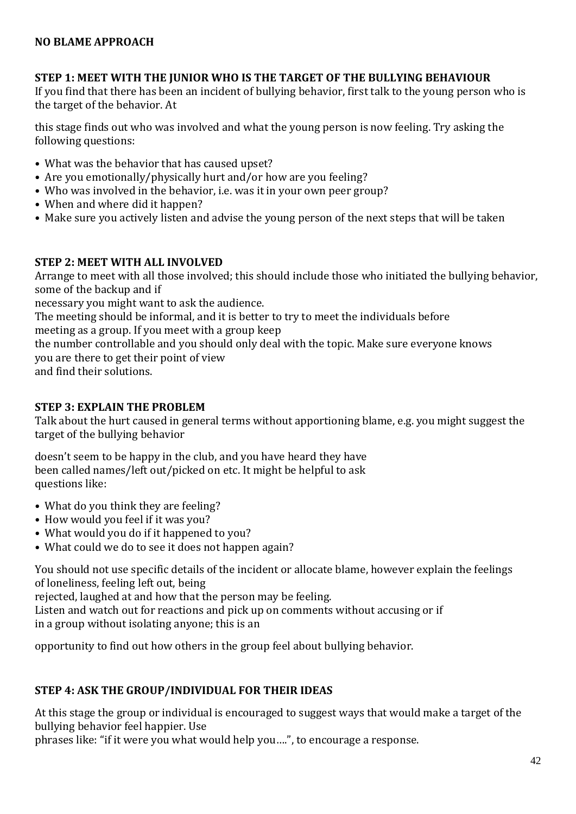### **STEP 1: MEET WITH THE JUNIOR WHO IS THE TARGET OF THE BULLYING BEHAVIOUR**

If you find that there has been an incident of bullying behavior, first talk to the young person who is the target of the behavior. At

this stage finds out who was involved and what the young person is now feeling. Try asking the following questions:

- What was the behavior that has caused upset?
- Are you emotionally/physically hurt and/or how are you feeling?
- Who was involved in the behavior, i.e. was it in your own peer group?
- When and where did it happen?
- Make sure you actively listen and advise the young person of the next steps that will be taken

### **STEP 2: MEET WITH ALL INVOLVED**

Arrange to meet with all those involved; this should include those who initiated the bullying behavior, some of the backup and if

necessary you might want to ask the audience.

The meeting should be informal, and it is better to try to meet the individuals before meeting as a group. If you meet with a group keep the number controllable and you should only deal with the topic. Make sure everyone knows

you are there to get their point of view

and find their solutions.

### **STEP 3: EXPLAIN THE PROBLEM**

Talk about the hurt caused in general terms without apportioning blame, e.g. you might suggest the target of the bullying behavior

doesn't seem to be happy in the club, and you have heard they have been called names/left out/picked on etc. It might be helpful to ask questions like:

- What do you think they are feeling?
- How would you feel if it was you?
- What would you do if it happened to you?
- What could we do to see it does not happen again?

You should not use specific details of the incident or allocate blame, however explain the feelings of loneliness, feeling left out, being

rejected, laughed at and how that the person may be feeling.

Listen and watch out for reactions and pick up on comments without accusing or if in a group without isolating anyone; this is an

opportunity to find out how others in the group feel about bullying behavior.

### **STEP 4: ASK THE GROUP/INDIVIDUAL FOR THEIR IDEAS**

At this stage the group or individual is encouraged to suggest ways that would make a target of the bullying behavior feel happier. Use

phrases like: "if it were you what would help you….", to encourage a response.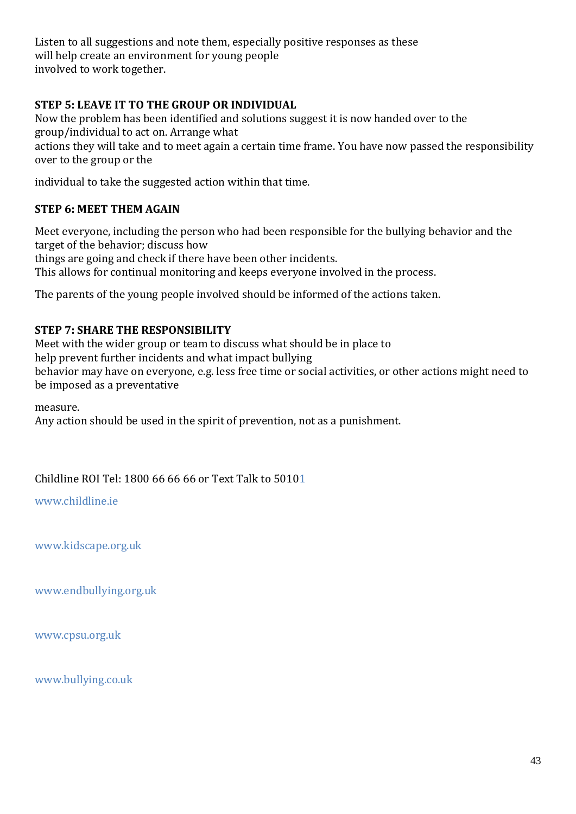Listen to all suggestions and note them, especially positive responses as these will help create an environment for young people involved to work together.

### **STEP 5: LEAVE IT TO THE GROUP OR INDIVIDUAL**

Now the problem has been identified and solutions suggest it is now handed over to the group/individual to act on. Arrange what actions they will take and to meet again a certain time frame. You have now passed the responsibility over to the group or the

individual to take the suggested action within that time.

#### **STEP 6: MEET THEM AGAIN**

Meet everyone, including the person who had been responsible for the bullying behavior and the target of the behavior; discuss how things are going and check if there have been other incidents. This allows for continual monitoring and keeps everyone involved in the process.

The parents of the young people involved should be informed of the actions taken.

#### **STEP 7: SHARE THE RESPONSIBILITY**

Meet with the wider group or team to discuss what should be in place to help prevent further incidents and what impact bullying behavior may have on everyone, e.g. less free time or social activities, or other actions might need to be imposed as a preventative

measure. Any action should be used in the spirit of prevention, not as a punishment.

Childline ROI Tel: 1800 66 66 66 or Text Talk to 501[01](http://www.childline.ie/)

[www.childline.ie](http://www.childline.ie/)

[www.kidscape.org.uk](http://www.kidscape.org.uk/)

[www.endbullying.org.uk](http://www.endbullying.org.uk/)

[www.cpsu.org.uk](http://www.cpsu.org.uk/)

[www.bullying.co.uk](http://www.bullying.co.uk/)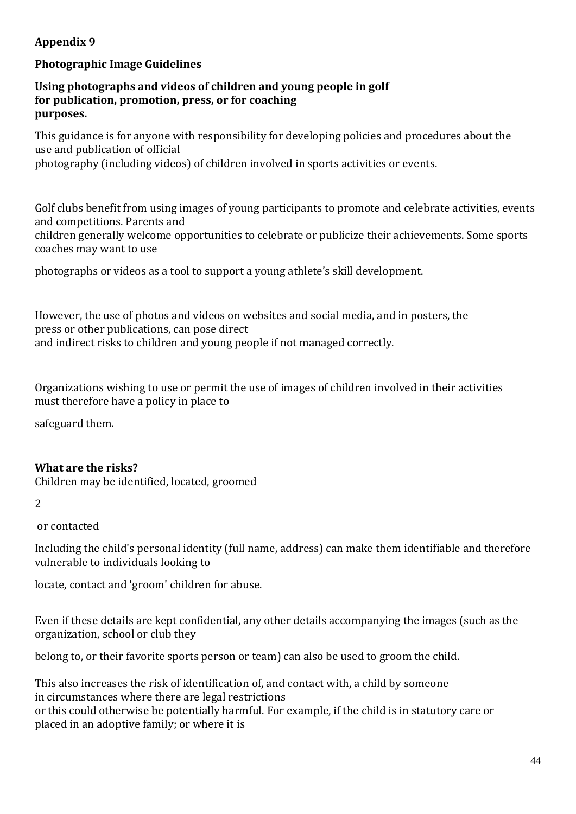## **Appendix 9**

### **Photographic Image Guidelines**

#### **Using photographs and videos of children and young people in golf for publication, promotion, press, or for coaching purposes.**

This guidance is for anyone with responsibility for developing policies and procedures about the use and publication of official

photography (including videos) of children involved in sports activities or events.

Golf clubs benefit from using images of young participants to promote and celebrate activities, events and competitions. Parents and

children generally welcome opportunities to celebrate or publicize their achievements. Some sports coaches may want to use

photographs or videos as a tool to support a young athlete's skill development.

However, the use of photos and videos on websites and social media, and in posters, the press or other publications, can pose direct and indirect risks to children and young people if not managed correctly.

Organizations wishing to use or permit the use of images of children involved in their activities must therefore have a policy in place to

safeguard them.

### **What are the risks?**

Children may be identified, located, groomed

2

or contacted

Including the child's personal identity (full name, address) can make them identifiable and therefore vulnerable to individuals looking to

locate, contact and 'groom' children for abuse.

Even if these details are kept confidential, any other details accompanying the images (such as the organization, school or club they

belong to, or their favorite sports person or team) can also be used to groom the child.

This also increases the risk of identification of, and contact with, a child by someone in circumstances where there are legal restrictions or this could otherwise be potentially harmful. For example, if the child is in statutory care or placed in an adoptive family; or where it is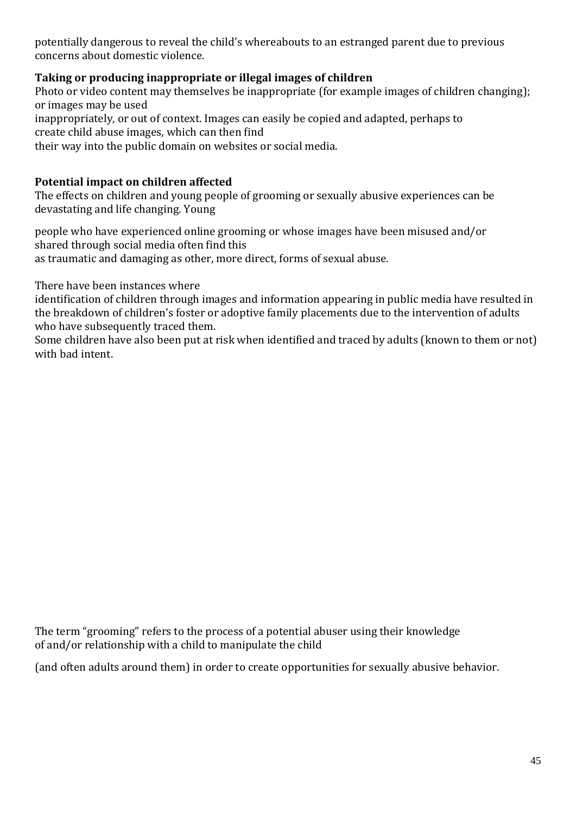potentially dangerous to reveal the child's whereabouts to an estranged parent due to previous concerns about domestic violence.

### **Taking or producing inappropriate or illegal images of children**

Photo or video content may themselves be inappropriate (for example images of children changing); or images may be used inappropriately, or out of context. Images can easily be copied and adapted, perhaps to create child abuse images, which can then find their way into the public domain on websites or social media.

### **Potential impact on children affected**

The effects on children and young people of grooming or sexually abusive experiences can be devastating and life changing. Young

people who have experienced online grooming or whose images have been misused and/or shared through social media often find this as traumatic and damaging as other, more direct, forms of sexual abuse.

There have been instances where

identification of children through images and information appearing in public media have resulted in the breakdown of children's foster or adoptive family placements due to the intervention of adults who have subsequently traced them.

Some children have also been put at risk when identified and traced by adults (known to them or not) with bad intent.

The term "grooming" refers to the process of a potential abuser using their knowledge of and/or relationship with a child to manipulate the child

(and often adults around them) in order to create opportunities for sexually abusive behavior.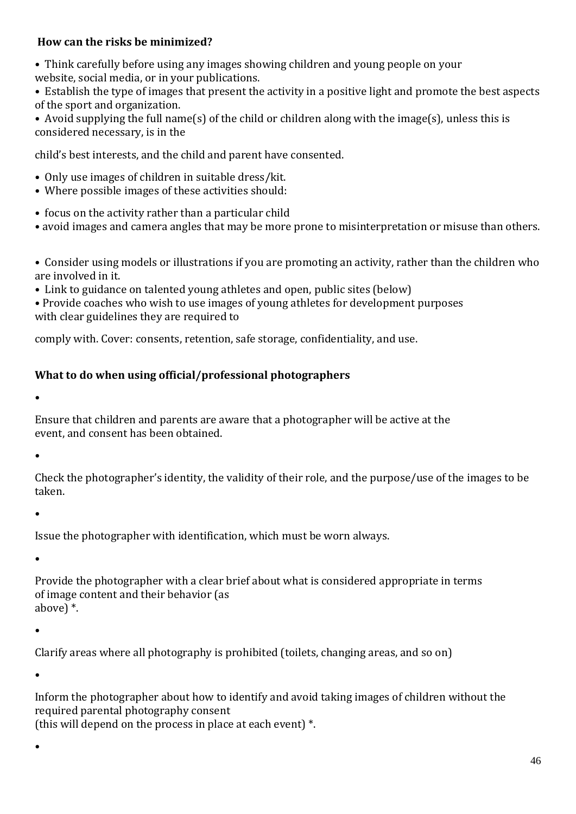### **How can the risks be minimized?**

• Think carefully before using any images showing children and young people on your website, social media, or in your publications.

• Establish the type of images that present the activity in a positive light and promote the best aspects of the sport and organization.

• Avoid supplying the full name(s) of the child or children along with the image(s), unless this is considered necessary, is in the

child's best interests, and the child and parent have consented.

- Only use images of children in suitable dress/kit.
- Where possible images of these activities should:
- focus on the activity rather than a particular child
- avoid images and camera angles that may be more prone to misinterpretation or misuse than others.
- Consider using models or illustrations if you are promoting an activity, rather than the children who are involved in it.
- Link to guidance on talented young athletes and open, public sites (below)

• Provide coaches who wish to use images of young athletes for development purposes with clear guidelines they are required to

comply with. Cover: consents, retention, safe storage, confidentiality, and use.

## **What to do when using official/professional photographers**

•

Ensure that children and parents are aware that a photographer will be active at the event, and consent has been obtained.

•

Check the photographer's identity, the validity of their role, and the purpose/use of the images to be taken.

•

Issue the photographer with identification, which must be worn always.

•

Provide the photographer with a clear brief about what is considered appropriate in terms of image content and their behavior (as above) \*.

•

Clarify areas where all photography is prohibited (toilets, changing areas, and so on)

•

Inform the photographer about how to identify and avoid taking images of children without the required parental photography consent

(this will depend on the process in place at each event) \*.

•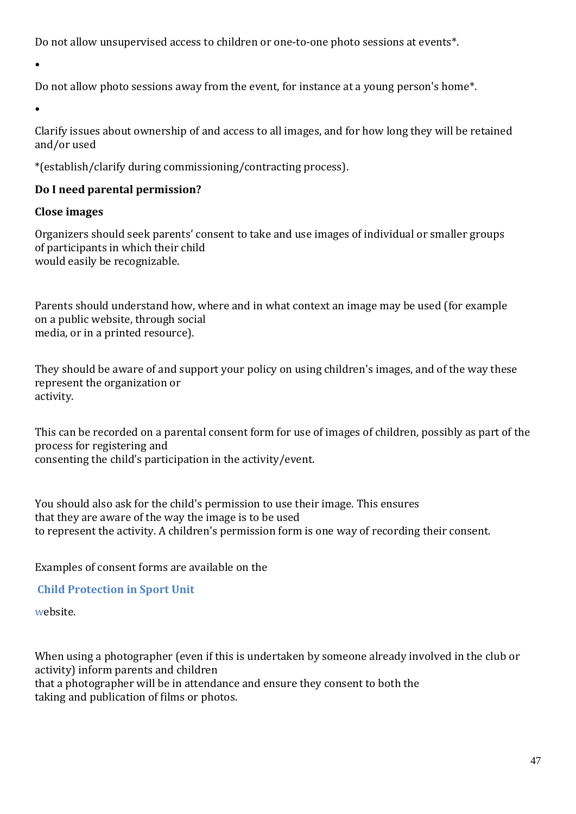Do not allow unsupervised access to children or one-to-one photo sessions at events\*.

•

Do not allow photo sessions away from the event, for instance at a young person's home\*.

•

Clarify issues about ownership of and access to all images, and for how long they will be retained and/or used

\*(establish/clarify during commissioning/contracting process).

## **Do I need parental permission?**

### **Close images**

Organizers should seek parents' consent to take and use images of individual or smaller groups of participants in which their child would easily be recognizable.

Parents should understand how, where and in what context an image may be used (for example on a public website, through social media, or in a printed resource).

They should be aware of and support your policy on using children's images, and of the way these represent the organization or activity.

This can be recorded on a parental consent form for use of images of children, possibly as part of the process for registering and consenting the child's participation in the activity/event.

You should also ask for the child's permission to use their image. This ensures that they are aware of the way the image is to be used to represent the activity. A children's permission form is one way of recording their consent.

Examples of consent forms are available on the

## **Child [Protection](https://thecpsu.org.uk/download/media/1090/photography-and-filming-consent-form.pdf) in Sport Unit**

[we](https://thecpsu.org.uk/download/media/1090/photography-and-filming-consent-form.pdf)bsite.

When using a photographer (even if this is undertaken by someone already involved in the club or activity) inform parents and children that a photographer will be in attendance and ensure they consent to both the taking and publication of films or photos.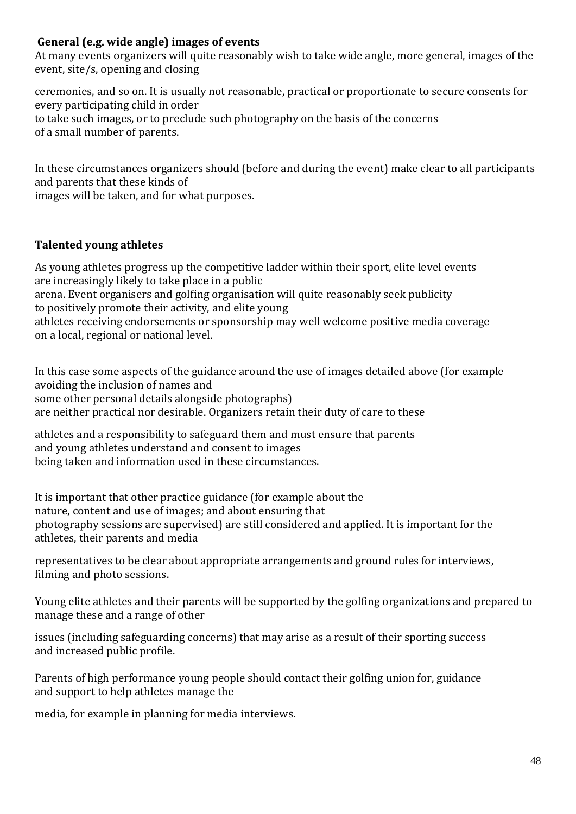### **General (e.g. wide angle) images of events**

At many events organizers will quite reasonably wish to take wide angle, more general, images of the event, site/s, opening and closing

ceremonies, and so on. It is usually not reasonable, practical or proportionate to secure consents for every participating child in order to take such images, or to preclude such photography on the basis of the concerns of a small number of parents.

In these circumstances organizers should (before and during the event) make clear to all participants and parents that these kinds of

images will be taken, and for what purposes.

## **Talented young athletes**

As young athletes progress up the competitive ladder within their sport, elite level events are increasingly likely to take place in a public arena. Event organisers and golfing organisation will quite reasonably seek publicity to positively promote their activity, and elite young athletes receiving endorsements or sponsorship may well welcome positive media coverage on a local, regional or national level.

In this case some aspects of the guidance around the use of images detailed above (for example avoiding the inclusion of names and some other personal details alongside photographs) are neither practical nor desirable. Organizers retain their duty of care to these

athletes and a responsibility to safeguard them and must ensure that parents and young athletes understand and consent to images being taken and information used in these circumstances.

It is important that other practice guidance (for example about the nature, content and use of images; and about ensuring that photography sessions are supervised) are still considered and applied. It is important for the athletes, their parents and media

representatives to be clear about appropriate arrangements and ground rules for interviews, filming and photo sessions.

Young elite athletes and their parents will be supported by the golfing organizations and prepared to manage these and a range of other

issues (including safeguarding concerns) that may arise as a result of their sporting success and increased public profile.

Parents of high performance young people should contact their golfing union for, guidance and support to help athletes manage the

media, for example in planning for media interviews.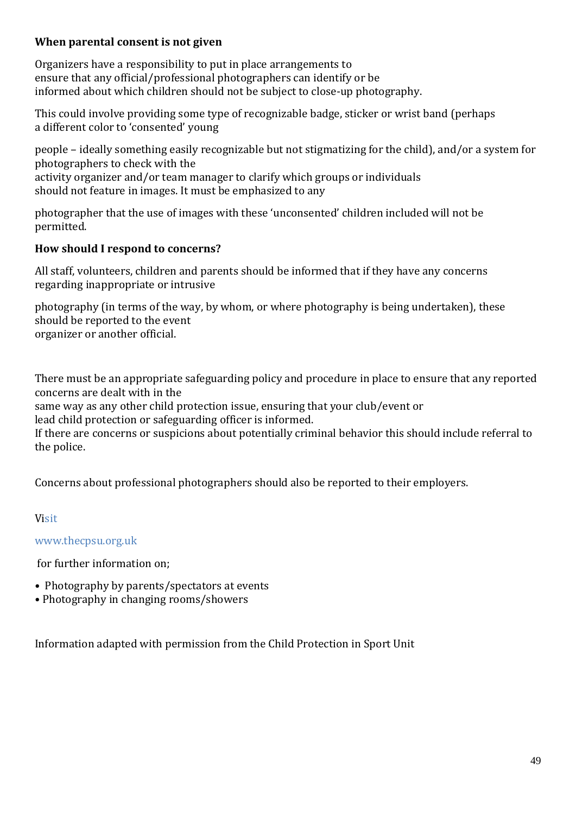### **When parental consent is not given**

Organizers have a responsibility to put in place arrangements to ensure that any official/professional photographers can identify or be informed about which children should not be subject to close-up photography.

This could involve providing some type of recognizable badge, sticker or wrist band (perhaps a different color to 'consented' young

people – ideally something easily recognizable but not stigmatizing for the child), and/or a system for photographers to check with the activity organizer and/or team manager to clarify which groups or individuals should not feature in images. It must be emphasized to any

photographer that the use of images with these 'unconsented' children included will not be permitted.

### **How should I respond to concerns?**

All staff, volunteers, children and parents should be informed that if they have any concerns regarding inappropriate or intrusive

photography (in terms of the way, by whom, or where photography is being undertaken), these should be reported to the event organizer or another official.

There must be an appropriate safeguarding policy and procedure in place to ensure that any reported concerns are dealt with in the

same way as any other child protection issue, ensuring that your club/event or

lead child protection or safeguarding officer is informed.

If there are concerns or suspicions about potentially criminal behavior this should include referral to the police.

Concerns about professional photographers should also be reported to their employers.

## V[isit](https://thecpsu.org.uk/resource-library/2013/guidance-on-photographing-and-videoing-children-in-sport/)

### [www.thecpsu.org.uk](https://thecpsu.org.uk/resource-library/2013/guidance-on-photographing-and-videoing-children-in-sport/)

[f](https://thecpsu.org.uk/resource-library/2013/guidance-on-photographing-and-videoing-children-in-sport/)or further information on;

- Photography by parents/spectators at events
- Photography in changing rooms/showers

Information adapted with permission from the Child Protection in Sport Unit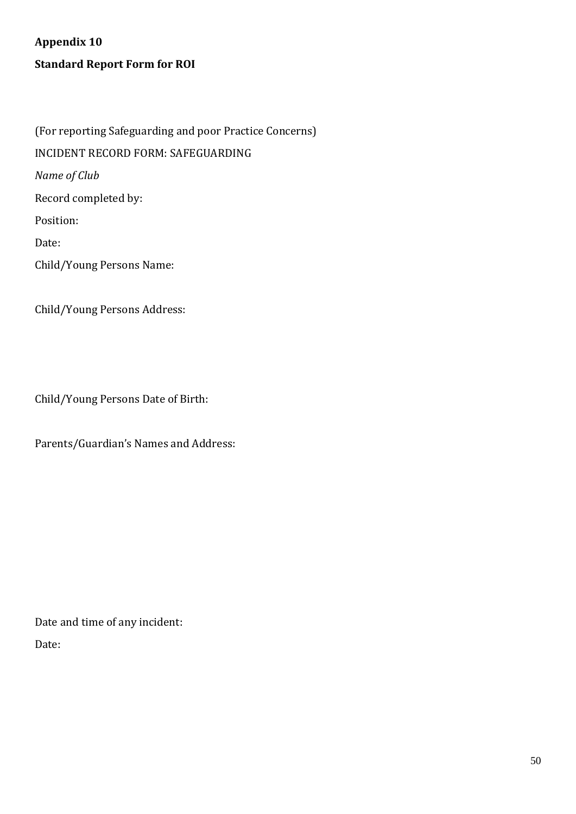**Appendix 10 Standard Report Form for ROI**

(For reporting Safeguarding and poor Practice Concerns) INCIDENT RECORD FORM: SAFEGUARDING *Name of Club* Record completed by: Position: Date: Child/Young Persons Name:

Child/Young Persons Address:

Child/Young Persons Date of Birth:

Parents/Guardian's Names and Address:

Date and time of any incident: Date: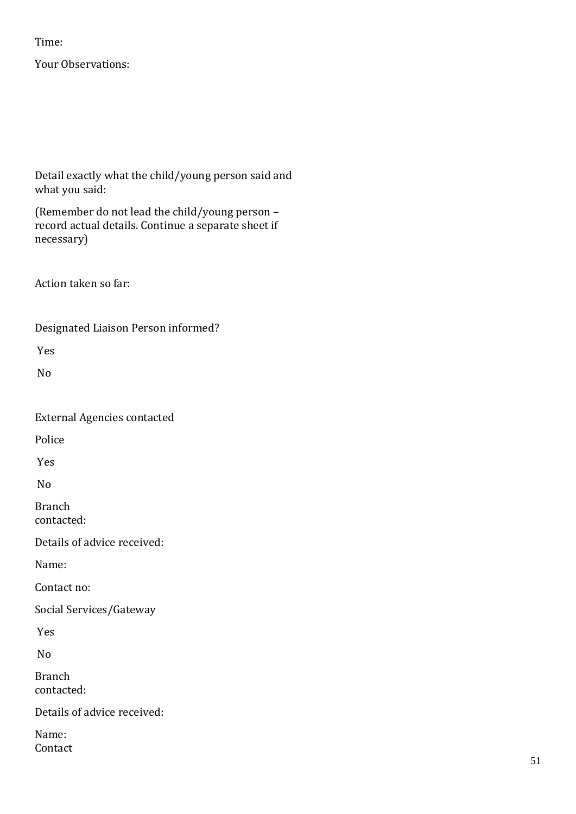### Time:

Your Observations:

Detail exactly what the child/young person said and what you said:

(Remember do not lead the child/young person – record actual details. Continue a separate sheet if necessary)

Action taken so far:

Designated Liaison Person informed?

Yes

No

External Agencies contacted

Police

Yes

No

Branch contacted:

Details of advice received:

Name:

Contact no:

Social Services/Gateway

Yes

No

Branch contacted:

Details of advice received:

Name: Contact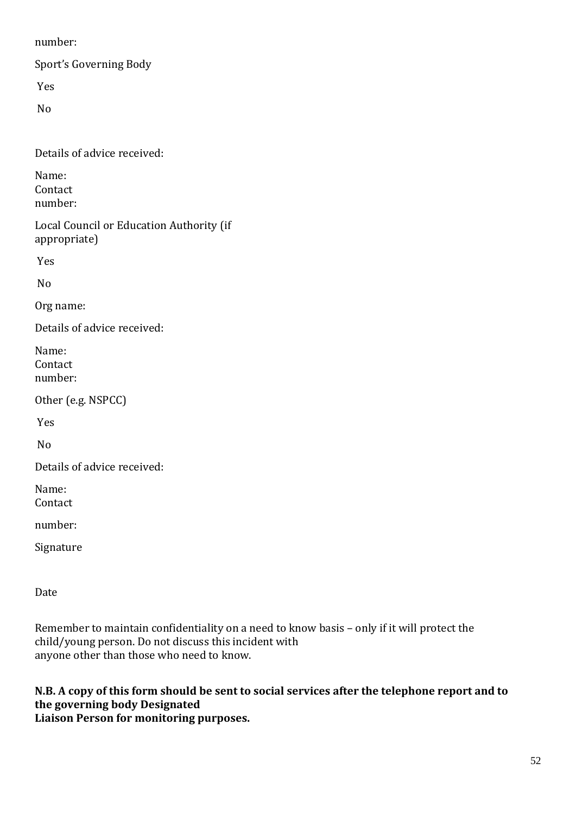number:

Sport's Governing Body

Yes

No

Details of advice received:

Name: Contact number:

Local Council or Education Authority (if appropriate)

Yes

No

Org name:

Details of advice received:

Name: Contact number:

Other (e.g. NSPCC)

Yes

No

Details of advice received:

Name: Contact

number:

Signature

Date

Remember to maintain confidentiality on a need to know basis – only if it will protect the child/young person. Do not discuss this incident with anyone other than those who need to know.

## **N.B. A copy of this form should be sent to social services after the telephone report and to the governing body Designated**

**Liaison Person for monitoring purposes.**